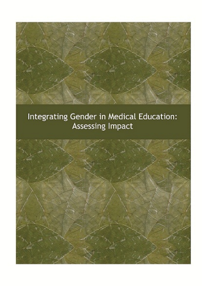### Integrating Gender in Medical Education: Assessing Impact

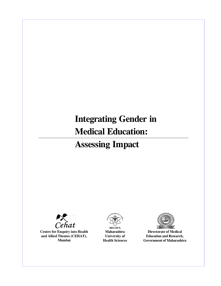# **Integrating Gender in Medical Education: Assessing Impact**



**Centre for Enquiry into Health and Allied Themes (CEHAT), Mumbai**



**Maharashtra University of Health Sciences**



**Directorate of Medical Education and Research, Government of Maharashtra**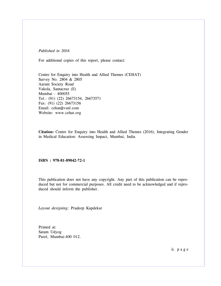*Published in 2016*

For additional copies of this report, please contact:

Centre for Enquiry into Health and Allied Themes (CEHAT) Survey No. 2804 & 2805 Aaram Society Road Vakola, Santacruz (E) Mumbai - 400055 Tel.: (91) (22) 26673154, 26673571 Fax: (91) (22) 26673156 Email: cehat@vsnl.com Website: www.cehat.org

**Citation:** Centre for Enquiry into Health and Allied Themes (2016), Integrating Gender in Medical Education: Assessing Impact, Mumbai, India.

**ISBN : 978-81-89042-72-1**

This publication does not have any copyright. Any part of this publication can be reproduced but not for commercial purposes. All credit need to be acknowledged and if reproduced should inform the publisher.

*Layout designing:* Pradeep Kapdekar

Printed at: Satam Udyog Parel, Mumbai-400 012.

ii. p a g e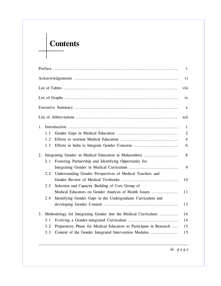# **Contents**

|                                                                            |  | $\mathbf V$ |
|----------------------------------------------------------------------------|--|-------------|
|                                                                            |  | vi          |
|                                                                            |  | viii        |
|                                                                            |  | ix          |
|                                                                            |  | X           |
|                                                                            |  | xiii        |
| $\mathbf{1}$<br>1.                                                         |  |             |
| 2<br>1.1                                                                   |  |             |
| $\overline{4}$<br>1.2                                                      |  |             |
| 1.3<br>6                                                                   |  |             |
| 8<br>Integrating Gender in Medical Education in Maharashtra<br>2.          |  |             |
| Fostering Partnership and Identifying Opportunity for<br>2.1               |  |             |
| 9                                                                          |  |             |
| Understanding Gender Perspectives of Medical Teachers and<br>2.2           |  |             |
|                                                                            |  | 10          |
| Selection and Capacity Building of Core Group of<br>2.3                    |  |             |
| Medical Educators on Gender Analysis of Health Issues<br>11                |  |             |
| 2.4<br>Identifying Gender Gaps in the Undergraduate Curriculum and         |  |             |
|                                                                            |  | 13          |
| Methodology for Integrating Gender into the Medical Curriculum<br>14<br>3. |  |             |
| 3.1<br>14                                                                  |  |             |
| Preparatory Phase for Medical Educators to Participate in Research<br>3.2  |  | 15          |
| Content of the Gender Integrated Intervention Modules<br>3.3<br>15         |  |             |

iii. p a g e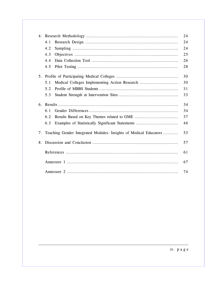|    | 24                                                                |    |  |  |
|----|-------------------------------------------------------------------|----|--|--|
|    | 4.1                                                               | 24 |  |  |
|    | 4.2                                                               | 24 |  |  |
|    | 4.3                                                               | 25 |  |  |
|    | 4.4                                                               | 26 |  |  |
|    | 4.5                                                               | 28 |  |  |
|    |                                                                   | 30 |  |  |
|    | Medical Colleges Implementing Action Research<br>5.1              | 30 |  |  |
|    | 5.2                                                               | 31 |  |  |
|    | 5.3                                                               | 33 |  |  |
| 6. |                                                                   | 34 |  |  |
|    | 6.1                                                               | 34 |  |  |
|    | 6.2                                                               | 37 |  |  |
|    | 6.3                                                               | 46 |  |  |
| 7. | Teaching Gender Integrated Modules- Insights of Medical Educators | 53 |  |  |
| 8. |                                                                   | 57 |  |  |
|    |                                                                   | 61 |  |  |
|    |                                                                   | 67 |  |  |
|    |                                                                   | 74 |  |  |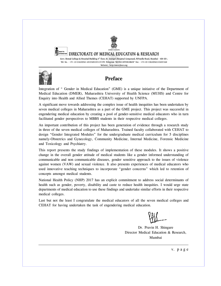

IGHT TO DIRECTORATE OF MEDICAL EDUCATION & RESEARCH

Govt. Dental College & Hospital Building 4<sup>th</sup> floor, St. George's Hospital Compound, P.D'mello Road, Mumbai - 400 001. Tel. No. - +91-22-22620361-65/22652251/57/59. Telegram "MEDUCATNSEARCH" Fax - +91-22-22620562/22652168 Website: http:/www.dmer.org



## **Preface**

Integration of " Gender in Medical Education" (GME) is a unique initiative of the Department of Medical Education (DMER), Maharashtra University of Health Science (MUHS) and Centre for Enquiry into Health and Allied Themes (CEHAT) supported by UNFPA.

A significant move towards addressing the complex issue of health inequities has been undertaken by seven medical colleges in Maharashtra as a part of the GME project. This project was successful in engendering medical education by creating a pool of gender-sensitive medical educators who in turn facilitated gender perspectives to MBBS students in their respective medical colleges.

An important contribution of this project has been generation of evidence through a research study in three of the seven medical colleges of Maharashtra. Trained faculty collaborated with CEHAT to design "Gender Integrated Modules" for the undergraduate medical curriculum for 5 disciplines namely-Obstetrics and Gynecology, Community Medicine, Internal Medicine, Forensic Medicine and Toxicology and Psychiatry.

This report presents the study findings of implementation of these modules. It shows a positive change in the overall gender attitude of medical students like a gender informed understanding of communicable and non communicable diseases, gender sensitive approach to the issues of violence against women (VAW) and sexual violence. It also presents experiences of medical educators who used innovative teaching techniques to incorporate "gender concerns" which led to retention of concepts amongst medical students.

National Health Policy (NHP) 2017 has an explicit commitment to address social determinants of health such as gender, poverty, disability and caste to reduce health inequities. I would urge state departments of medical education to use these findings and undertake similar efforts in their respective medical colleges.

Last but not the least I congratulate the medical educators of all the seven medical colleges and CEHAT for having undertaken the task of engendering medical education.

Dr. Pravin H. Shingare Director Medical Education & Research, Mumbai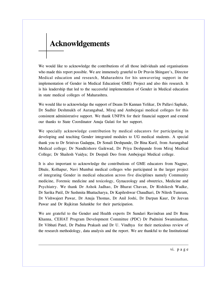# **Acknowldgements**

We would like to acknowledge the contributions of all those individuals and organisations who made this report possible. We are immensely grateful to Dr Pravin Shingare's, Director Medical education and research, Maharashtra for his unwavering support in the implementation of Gender in Medical Education( GME) Project and also this research. It is his leadership that led to the successful implementation of Gender in Medical education in state medical colleges of Maharashtra.

We would like to acknowledge the support of Deans Dr Kannan Yelikar, Dr Pallavi Saphale, Dr Sudhir Deshmukh of Aurangabad, Miraj and Ambejogai medical colleges for this consistent administrative support. We thank UNFPA for their financial support and extend our thanks to State Coordinator Anuja Gulati for her support.

We specially acknowledge contribution by medical educators for participating in developing and teaching Gender integrated modules to UG medical students. A special thank you to Dr Srinivas Gadappa, Dr Sonali Deshpande, Dr Bina Kuril, from Aurangabad Medical college; Dr Nandkishore Gaikwad, Dr Priya Deshpande from Miraj Medical College; Dr Shailesh Vaidya; Dr Deepali Deo from Ambejogai Medical college.

It is also important to acknowledge the contributions of GME educators from Nagpur, Dhule, Kolhapur, Navi Mumbai medical colleges who participated in the larger project of integrating Gender in medical education across five disciplines namely Community medicine, Forensic medicine and toxicology, Gynaceology and obstetrics, Medicine and Psychiatry. We thank Dr Ashok Jadhao, Dr Bharat Chavan, Dr Rishikesh Wadke, Dr Sarika Patil, Dr Sushmita Bhattacharya, Dr Kapileshwar Chaudhari, Dr Nilesh Tumram, Dr Vishwajeet Pawar, Dr Anuja Thomas, Dr Anil Joshi, Dr Darpan Kaur, Dr Jeevan Pawar and Dr Rajkiran Salunkhe for their participation.

We are grateful to the Gender and Health experts Dr Sundari Ravindran and Dr Renu Khanna, CEHAT Program Development Committee (PDC) Dr Padmini Swaminathan, Dr Vibhuti Patel, Dr Padma Prakash and Dr U. Vindhya for their meticulous review of the research methodology, data analysis and the report. We are thankful to the Institutional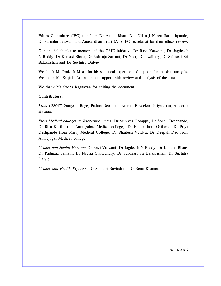Ethics Committee (IEC) members Dr Anant Bhan, Dr Nilangi Naren Sardeshpande, Dr Surinder Jaiswal and Anusandhan Trust (AT) IEC secretariat for their ethics review.

Our special thanks to mentors of the GME initiative Dr Ravi Vaswani, Dr Jagdeesh N Reddy, Dr Kamaxi Bhate, Dr Padmaja Samant, Dr Neerja Chowdhury, Dr Subhasri Sri Balakrishan and Dr Suchitra Dalvie

We thank Mr Prakash Misra for his statistical expertise and support for the data analysis. We thank Ms Sanjida Arora for her support with review and analysis of the data.

We thank Ms Sudha Raghavan for editing the document.

#### **Contributors:**

*From CEHAT:* Sangeeta Rege, Padma Deosthali, Amruta Bavdekar, Priya John, Ameerah Hasnain.

*From Medical colleges as Intervention sites:* Dr Srinivas Gadappa, Dr Sonali Deshpande, Dr Bina Kuril from Aurangabad Medical college, Dr Nandkishore Gaikwad, Dr Priya Deshpande from Miraj Medical College, Dr Shailesh Vaidya, Dr Deepali Deo from Ambejogai Medical college.

*Gender and Health Mentors:* Dr Ravi Vaswani, Dr Jagdeesh N Reddy, Dr Kamaxi Bhate, Dr Padmaja Samant, Dr Neerja Chowdhury, Dr Subhasri Sri Balakrishan, Dr Suchitra Dalvie.

*Gender and Health Experts:* Dr Sundari Ravindran, Dr Renu Khanna.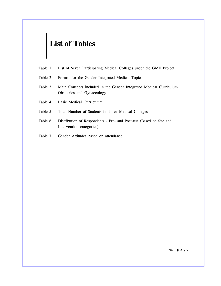## **List of Tables**

- Table 1. List of Seven Participating Medical Colleges under the GME Project
- Table 2. Format for the Gender Integrated Medical Topics
- Table 3. Main Concepts included in the Gender Integrated Medical Curriculum Obstetrics and Gynaecology
- Table 4. Basic Medical Curriculum
- Table 5. Total Number of Students in Three Medical Colleges
- Table 6. Distribution of Respondents Pre- and Post-test (Based on Site and Intervention categories)
- Table 7. Gender Attitudes based on attendance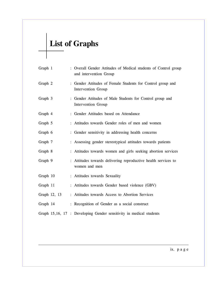# **List of Graphs**

| Graph 1      | : Overall Gender Attitudes of Medical students of Control group<br>and intervention Group |
|--------------|-------------------------------------------------------------------------------------------|
| Graph 2      | : Gender Attitudes of Female Students for Control group and<br>Intervention Group         |
| Graph 3      | : Gender Attitudes of Male Students for Control group and<br>Intervention Group           |
| Graph 4      | : Gender Attitudes based on Attendance                                                    |
| Graph 5      | : Attitudes towards Gender roles of men and women                                         |
| Graph 6      | : Gender sensitivity in addressing health concerns                                        |
| Graph 7      | : Assessing gender stereotypical attitudes towards patients                               |
| Graph 8      | : Attitudes towards women and girls seeking abortion services                             |
| Graph 9      | : Attitudes towards delivering reproductive health services to<br>women and men           |
| Graph 10     | : Attitudes towards Sexuality                                                             |
| Graph 11     | : Attitudes towards Gender based violence (GBV)                                           |
| Graph 12, 13 | : Attitudes towards Access to Abortion Services                                           |
| Graph 14     | : Recognition of Gender as a social construct                                             |
|              | Graph 15,16, 17 : Developing Gender sensitivity in medical students                       |
|              |                                                                                           |

ix. p a g e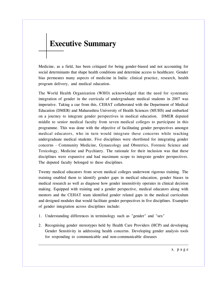## **Executive Summary**

Medicine, as a field, has been critiqued for being gender-biased and not accounting for social determinants that shape health conditions and determine access to healthcare. Gender bias permeates many aspects of medicine in India: clinical practice, research, health program delivery, and medical education.

The World Health Organization (WHO) acknowledged that the need for systematic integration of gender in the curricula of undergraduate medical students in 2007 was imperative. Taking a cue from this, CEHAT collaborated with the Department of Medical Education (DMER) and Maharashtra University of Health Sciences (MUHS) and embarked on a journey to integrate gender perspectives in medical education. DMER deputed middle to senior medical faculty from seven medical colleges to participate in this programme. This was done with the objective of facilitating gender perspectives amongst medical educators, who in turn would integrate these concerns while teaching undergraduate medical students. Five disciplines were shortlisted for integrating gender concerns - Community Medicine, Gynaecology and Obstetrics, Forensic Science and Toxicology, Medicine and Psychiatry. The rationale for their inclusion was that these disciplines were expansive and had maximum scope to integrate gender perspectives. The deputed faculty belonged to these disciplines.

Twenty medical educators from seven medical colleges underwent rigorous training. The training enabled them to identify gender gaps in medical education, gender biases in medical research as well as diagnose how gender insensitivity operates in clinical decision making. Equipped with training and a gender perspective, medical educators along with mentors and the CEHAT team identified gender related gaps in the medical curriculum and designed modules that would facilitate gender perspectives in five disciplines. Examples of gender integration across disciplines include:

- 1. Understanding differences in terminology such as "gender" and "sex"
- 2. Recognising gender stereotypes held by Health Care Providers (HCP) and developing Gender Sensitivity in addressing health concerns. Developing gender analysis tools for responding to communicable and non-communicable diseases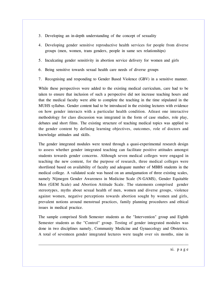- 3. Developing an in-depth understanding of the concept of sexuality
- 4. Developing gender sensitive reproductive health services for people from diverse groups (men, women, trans genders, people in same sex relationships)
- 5. Inculcating gender sensitivity in abortion service delivery for women and girls
- 6. Being sensitive towards sexual health care needs of diverse groups
- 7. Recognising and responding to Gender Based Violence (GBV) in a sensitive manner.

While these perspectives were added to the existing medical curriculum, care had to be taken to ensure that inclusion of such a perspective did not increase teaching hours and that the medical faculty were able to complete the teaching in the time stipulated in the MUHS syllabus. Gender content had to be introduced in the existing lectures with evidence on how gender interacts with a particular health condition. Atleast one interactive methodology for class discussion was integrated in the form of case studies, role play, debates and short films. The existing structure of teaching medical topics was applied to the gender content by defining learning objectives, outcomes, role of doctors and knowledge attitudes and skills.

The gender integrated modules were tested through a quasi-experimental research design to assess whether gender integrated teaching can facilitate positive attitudes amongst students towards gender concerns. Although seven medical colleges were engaged in teaching the new content, for the purpose of research, three medical colleges were shortlisted based on availability of faculty and adequate number of MBBS students in the medical college. A validated scale was based on an amalgamation of three existing scales, namely Nijmegen Gender Awareness in Medicine Scale (N-GAMS), Gender Equitable Men (GEM Scale) and Abortion Attitude Scale. The statements comprised gender stereotypes, myths about sexual health of men, women and diverse groups, violence against women, negative perceptions towards abortion sought by women and girls, prevalent notions around menstrual practices, family planning procedures and ethical issues in medical practice.

The sample comprised Sixth Semester students as the "Intervention" group and Eighth Semester students as the "Control" group. Testing of gender integrated modules was done in two disciplines namely, Community Medicine and Gynaecology and Obstetrics. A total of seventeen gender integrated lectures were taught over six months, nine in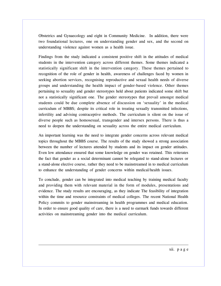Obstetrics and Gynaecology and eight in Community Medicine. In addition, there were two foundational lectures, one on understanding gender and sex, and the second on understanding violence against women as a health issue.

Findings from the study indicated a consistent positive shift in the attitudes of medical students in the intervention category across different themes. Some themes indicated a statistically significant shift in the intervention category. These themes pertained to recognition of the role of gender in health, awareness of challenges faced by women in seeking abortion services, recognising reproductive and sexual health needs of diverse groups and understanding the health impact of gender-based violence. Other themes pertaining to sexuality and gender stereotypes held about patients indicated some shift but not a statistically significant one. The gender stereotypes that prevail amongst medical students could be due complete absence of discussion on 'sexuality' in the medical curriculum of MBBS; despite its critical role in treating sexually transmitted infections, infertility and advising contraceptive methods. The curriculum is silent on the issue of diverse people such as homosexual, transgender and intersex persons. There is thus a need to deepen the understanding on sexuality across the entire medical curriculum.

An important learning was the need to integrate gender concerns across relevant medical topics throughout the MBBS course. The results of the study showed a strong association between the number of lectures attended by students and its impact on gender attitudes. Even low attendance ensured that some knowledge on gender was retained. This reiterates the fact that gender as a social determinant cannot be relegated to stand-alone lectures or a stand-alone elective course, rather they need to be mainstreamed in to medical curriculum to enhance the understanding of gender concerns within medical/health issues.

To conclude, gender can be integrated into medical teaching by training medical faculty and providing them with relevant material in the form of modules, presentations and evidence. The study results are encouraging, as they indicate The feasibility of integration within the time and resource constraints of medical colleges. The recent National Health Policy commits to gender mainstreaming in health programmes and medical education. In order to ensure good quality of care, there is a need to earmark funds towards different activities on mainstreaming gender into the medical curriculum.

xii. p a g e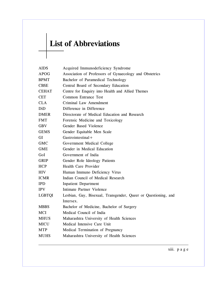# **List of Abbreviations**

| <b>AIDS</b>   | Acquired Immunodeficiency Syndrome                             |  |  |  |  |
|---------------|----------------------------------------------------------------|--|--|--|--|
| <b>APOG</b>   | Association of Professors of Gynaecology and Obstetrics        |  |  |  |  |
| <b>BPMT</b>   | Bachelor of Paramedical Technology                             |  |  |  |  |
| <b>CBSE</b>   | Central Board of Secondary Education                           |  |  |  |  |
| <b>CEHAT</b>  | Centre for Enquiry into Health and Allied Themes               |  |  |  |  |
| <b>CET</b>    | <b>Common Entrance Test</b>                                    |  |  |  |  |
| <b>CLA</b>    | Criminal Law Amendment                                         |  |  |  |  |
| DiD           | Difference in Difference                                       |  |  |  |  |
| <b>DMER</b>   | Directorate of Medical Education and Research                  |  |  |  |  |
| <b>FMT</b>    | Forensic Medicine and Toxicology                               |  |  |  |  |
| <b>GBV</b>    | Gender Based Violence                                          |  |  |  |  |
| <b>GEMS</b>   | Gender Equitable Men Scale                                     |  |  |  |  |
| <b>GI</b>     | $G$ astrointestinal +                                          |  |  |  |  |
| <b>GMC</b>    | Government Medical College                                     |  |  |  |  |
| <b>GME</b>    | Gender in Medical Education                                    |  |  |  |  |
| GoI           | Government of India                                            |  |  |  |  |
| <b>GRIP</b>   | Gender Role Ideology Patients                                  |  |  |  |  |
| <b>HCP</b>    | Health Care Provider                                           |  |  |  |  |
| <b>HIV</b>    | Human Immuno Deficiency Virus                                  |  |  |  |  |
| <b>ICMR</b>   | Indian Council of Medical Research                             |  |  |  |  |
| <b>IPD</b>    | <b>Inpatient Department</b>                                    |  |  |  |  |
| <b>IPV</b>    | Intimate Partner Violence                                      |  |  |  |  |
| <b>LGBTQI</b> | Lesbian, Gay, Bisexual, Transgender, Queer or Questioning, and |  |  |  |  |
|               | Intersex.                                                      |  |  |  |  |
| <b>MBBS</b>   | Bachelor of Medicine, Bachelor of Surgery                      |  |  |  |  |
| MCI           | Medical Council of India                                       |  |  |  |  |
| <b>MHUS</b>   | Maharashtra University of Health Sciences                      |  |  |  |  |
| <b>MICU</b>   | Medical Intensive Care Unit                                    |  |  |  |  |
| <b>MTP</b>    | Medical Termination of Pregnancy                               |  |  |  |  |
| <b>MUHS</b>   | Maharashtra University of Health Sciences                      |  |  |  |  |
|               |                                                                |  |  |  |  |

xiii. p a g e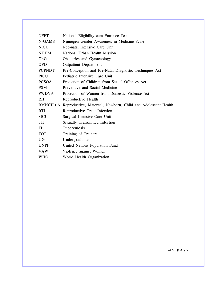| <b>NEET</b>   | National Eligibility cum Entrance Test                               |
|---------------|----------------------------------------------------------------------|
| N-GAMS        | Nijmegen Gender Awareness in Medicine Scale                          |
| <b>NICU</b>   | Neo-natal Intensive Care Unit                                        |
| <b>NUHM</b>   | National Urban Health Mission                                        |
| ObG           | Obstetrics and Gynaecology                                           |
| <b>OPD</b>    | <b>Outpatient Department</b>                                         |
| <b>PCPNDT</b> | Pre-Conception and Pre-Natal Diagnostic Techniques Act               |
| <b>PICU</b>   | Pediatric Intensive Care Unit                                        |
| <b>PCSOA</b>  | Protection of Children from Sexual Offences Act                      |
| <b>PSM</b>    | Preventive and Social Medicine                                       |
| <b>PWDVA</b>  | Protection of Women from Domestic Violence Act                       |
| <b>RH</b>     | Reproductive Health                                                  |
|               |                                                                      |
|               | RMNCH+A Reproductive, Maternal, Newborn, Child and Adolescent Health |
| <b>RTI</b>    | Reproductive Tract Infection                                         |
| <b>SICU</b>   | Surgical Intensive Care Unit                                         |
| <b>STI</b>    | Sexually Transmitted Infection                                       |
| TB            | Tuberculosis                                                         |
| <b>TOT</b>    | Training of Trainers                                                 |
| UG.           | Undergraduate                                                        |
| <b>UNPF</b>   | United Nations Population Fund                                       |
| <b>VAW</b>    | Violence against Women                                               |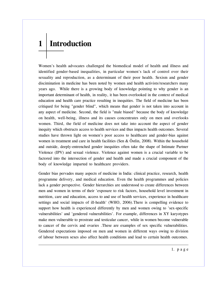# **1 Introduction**

Women's health advocates challenged the biomedical model of health and illness and identified gender-based inequalities, in particular women's lack of control over their sexuality and reproduction, as a determinant of their poor health. Sexism and gender discimination in medicine has been noted by women and health activists/researchers many years ago. While there is a growing body of knowledge pointing to why gender is an important determinant of health, in reality, it has been overlooked in the context of medical education and health care practice resulting in inequities. The field of medicine has been critiqued for being "gender blind", which means that gender is not taken into account in any aspect of medicine. Second, the field is "male biased" because the body of knowledge on health, well-being, illness and its causes concentrates only on men and overlooks women. Third, the field of medicine does not take into account the aspect of gender inequity which obstructs access to health services and thus impacts health outcomes. Several studies have thrown light on women's poor access to healthcare and gender-bias against women in treatment and care in health facilities (Sen & Östlin, 2008). Within the household and outside, deeply-entrenched gender inequities often take the shape of Intimate Partner Violence (IPV) and sexual violence. Violence against women is a crucial variable to be factored into the intersection of gender and health and made a crucial component of the body of knowledge imparted to healthcare providers.

Gender bias pervades many aspects of medicine in India: clinical practice, research, health programme delivery, and medical education. Even the health programmes and policies lack a gender perspective. Gender hierarchies are understood to create differences between men and women in terms of their 'exposure to risk factors, household level investment in nutrition, care and education, access to and use of health services, experience in healthcare settings and social impacts of ill-health' (WHO, 2006).There is compelling evidence to support how health is experienced differently by men and women owing to 'sex-specific vulnerabilities' and 'gendered vulnerabilities'. For example, differences in XY karyotypes make men vulnerable to prostrate and testicular cancer, while in women become vulnerable to cancer of the cervix and ovaries .These are examples of sex specific vulnerabilities. Gendered expectations imposed on men and women in different ways owing to division of labour between sexes also affect health conditions and lead to certain health outcomes.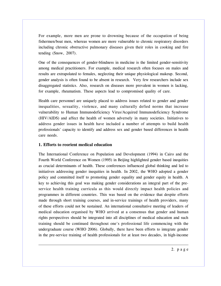For example, more men are prone to drowning because of the occupation of being fishermen/boat men, whereas women are more vulnerable to chronic respiratory disorders including chronic obstructive pulmonary diseases given their roles in cooking and fire tending (Snow, 2007).

One of the consequences of gender-blindness in medicine is the limited gender-sensitivity among medical practitioners. For example, medical research often focuses on males and results are extrapolated to females, neglecting their unique physiological makeup. Second, gender analysis is often found to be absent in research. Very few researchers include sex disaggregated statistics. Also, research on diseases more prevalent in women is lacking, for example, rheumatism. These aspects lead to compromised quality of care.

Health care personnel are uniquely placed to address issues related to gender and gender inequalities, sexuality, violence, and many culturally defied norms that increase vulnerability to Human Immunodeficiency Virus/Acquired Immunodeficiency Syndrome (HIV/AIDS) and affect the health of women adversely in many societies. Initiatives to address gender issues in health have included a number of attempts to build health professionals' capacity to identify and address sex and gender based differences in health care needs.

#### **1. Efforts to reorient medical education**

The International Conference on Population and Development (1994) in Cairo and the Fourth World Conference on Women (1995) in Beijing highlighted gender based inequities as crucial determinants of health. These conferences influenced global thinking and led to initiatives addressing gender inequities in health. In 2002, the WHO adopted a gender policy and committed itself to promoting gender equality and gender equity in health. A key to achieving this goal was making gender considerations an integral part of the preservice health training curricula as this would directly impact health policies and programmes in different countries. This was based on the evidence that despite efforts made through short training courses, and in-service trainings of health providers, many of these efforts could not be sustained. An international consultative meeting of leaders of medical education organised by WHO arrived at a consensus that gender and human rights perspectives should be integrated into all disciplines of medical education and such training should be continued throughout one's professional life commencing with the undergraduate course (WHO 2006). Globally, there have been efforts to integrate gender in the pre-service training of health professionals for at least two decades, in high-income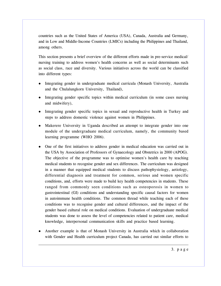countries such as the United States of America (USA), Canada, Australia and Germany, and in Low and Middle-Income Countries (LMICs) including the Philippines and Thailand, among others.

This section presents a brief overview of the different efforts made in pre-service medical/ nursing training to address women's health concerns as well as social determinants such as social class, race and diversity. Various initiatives across the world can be classified into different types:

- Integrating gender in undergraduate medical curricula (Monash University, Australia and the Chulalungkorn University, Thailand),
- Integrating gender specific topics within medical curriculum (in some cases nursing and midwifery),
- Integrating gender specific topics in sexual and reproductive health in Turkey and steps to address domestic violence against women in Philippines.
- Makerere University in Uganda described an attempt to integrate gender into one module of the undergraduate medical curriculum, namely, the community based learning programme (WHO 2006).
- One of the first initiatives to address gender in medical education was carried out in the USA by Association of Professors of Gynaecology and Obstetrics in 2000 (APOG). The objective of the programme was to optimise women's health care by teaching medical students to recognise gender and sex differences. The curriculum was designed in a manner that equipped medical students to discuss pathophysiology, aetiology, differential diagnosis and treatment for common, serious and women specific conditions, and, efforts were made to build key health competencies in students. These ranged from commonly seen conditions such as osteoporosis in women to gastrointestinal (GI) conditions and understanding specific causal factors for women in autoimmune health conditions. The common thread while teaching each of these conditions was to recognise gender and cultural differences, and the impact of the gender based cultural role on medical conditions. Evaluation of undergraduate medical students was done to assess the level of competencies related to patient care, medical knowledge, interpersonal communication skills and practice based learning.
- Another example is that of Monash University in Australia which in collaboration with Gender and Health curriculum project Canada, has carried out similar efforts to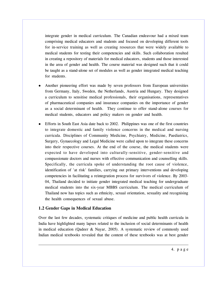integrate gender in medical curriculum. The Canadian endeavour had a mixed team comprising medical educators and students and focused on developing different tools for in-service training as well as creating resources that were widely available to medical students for testing their competencies and skills. Such collaboration resulted in creating a repository of materials for medical educators, students and those interested in the area of gender and health. The course material was designed such that it could be taught as a stand-alone set of modules as well as gender integrated medical teaching for students.

- Another pioneering effort was made by seven professors from European universities from Germany, Italy, Sweden, the Netherlands, Austria and Hungary. They designed a curriculum to sensitise medical professionals, their organisations, representatives of pharmaceutical companies and insurance companies on the importance of gender as a social determinant of health. They continue to offer stand-alone courses for medical students, educators and policy makers on gender and health.
- Efforts in South East Asia date back to 2002. Philippines was one of the first countries to integrate domestic and family violence concerns in the medical and nursing curricula. Disciplines of Community Medicine, Psychiatry, Medicine, Paediatrics, Surgery, Gynaecology and Legal Medicine were called upon to integrate these concerns into their respective courses. At the end of the course, the medical students were expected to have developed into culturally-sensitive, gender-sensitive and compassionate doctors and nurses with effective communication and counselling skills. Specifically, the curricula spoke of understanding the root cause of violence, identification of 'at risk' families, carrying out primary interventions and developing competencies in facilitating a reintegration process for survivors of violence. By 2003- 04, Thailand decided to initiate gender integrated medical teaching for undergraduate medical students into the six-year MBBS curriculum. The medical curriculum of Thailand now has topics such as ethnicity, sexual orientation, sexuality and recognising the health consequences of sexual abuse.

#### **1.2 Gender Gaps in Medical Education**

Over the last few decades, systematic critiques of medicine and public health curricula in India have highlighted many lapses related to the inclusion of social determinants of health in medical education (Qadeer & Nayar, 2005). A systematic review of commonly used Indian medical textbooks revealed that the content of these textbooks was at best gender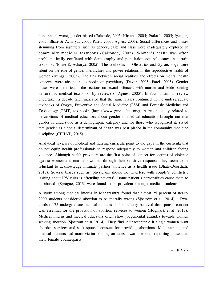blind and at worst, gender biased (Gaitonde, 2005; Khanna, 2005; Prakash, 2005; Iyengar, 2005; Bhate & Acharya, 2005; Patel, 2005; Agnes, 2005). Social differences and biases stemming from signifiers such as gender, caste and class were inadequately explored in community medicine textbooks (Gaitonde, 2005). Women's health was often problematically conflated with demography and population control issues in certain textbooks (Bhate & Acharya, 2005). The textbooks on Obstetrics and Gynaecology were silent on the role of gender hierarchies and power relations in the reproductive health of women (Iyengar, 2005). The link between social realities and effects on mental health concerns were absent in textbooks on psychiatry (Davar, 2005; Patel, 2005). Gender biases were identified in the sections on sexual offences, wife murder and bride burning in forensic medical textbooks by reviewers (Agnes, 2005). In fact, a similar review undertaken a decade later indicated that the same biases continued in the undergraduate textbooks of Obgyn, Preventive and Social Medicine (PSM) and Forensic Medicine and Toxicology (FMT) textbooks (http://www.gme-cehat.org). A recent study related to perceptions of medical educators about gender in medical education brought out that gender is understood as a demographic category and for those who recognised it, stated that gender as a social determinant of health was best placed in the community medicine discipline (CEHAT, 2015).

Analytical reviews of medical and nursing curricula point to the gaps in the curricula that do not equip health professionals to respond adequately to women and children facing violence. Although health providers are the first point of contact for victims of violence against women and can help women through their sensitive response, they seem to be reluctant to acknowledge intimate partner violence as a health issue (Bhate-Deosthali, 2013). Several biases such as 'physicians should not interfere with couple's conflicts', 'asking about IPV risks is offending patients', 'some patient's personalities cause them to be abused' (Sprague, 2013) were found to be prevalent amongst medical students.

A study among medical interns in Maharashtra found that almost 25 percent of nearly 2000 students considered abortion to be morally wrong (Sjöström et al. 2014). Twothirds of 75 undergraduate medical students in Pondicherry believed that spousal consent was essential for the provision of abortion services to women (Hogmark et al. 2013). Medical interns and medical educators often show judgemental attitudes towards women seeking abortion (Sjöström et al. 2014). They find it unacceptable if single women want abortion services and seek spousal consent for providing abortions. Male nursing and medical students had more victim blaming attitudes towards women reporting abuse than their female counterparts.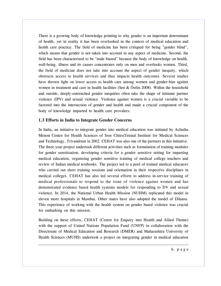There is a growing body of knowledge pointing to why gender is an important determinant of health, yet in reality it has been overlooked in the context of medical education and health care practice. The field of medicine has been critiqued for being "gender blind", which means that gender is not taken into account in any aspect of medicine. Second, the field has been characterized to be "male biased" because the body of knowledge on health, well-being, illness and its causes concentrates only on men and overlooks women. Third, the field of medicine does not take into account the aspect of gender inequity, which obstructs access to health services and thus impacts health outcomes. Several studies have thrown light on lower access to health care among women and gender-bias against women in treatment and care in health facilities (Sen & Östlin 2008). Within the household and outside, deeply-entrenched gender inequities often take the shape of intimate partner violence (IPV) and sexual violence. Violence against women is a crucial variable to be factored into the intersection of gender and health and made a crucial component of the body of knowledge imparted to health care providers.

#### **1.3 Efforts in India to Integrate Gender Concerns**

In India, an initiative to integrate gender into medical education was initiated by Achutha Menon Centre for Health Sciences of Sree ChitraTirunal Institute for Medical Sciences and Technology, Trivandrum in 2002. CEHAT was also one of the partners in this initiative. The three-year project undertook different activities such as formulation of training modules for gender sensitisation, developing criteria for a gender sensitive setting for imparting medical education, organising gender sensitive training of medical college teachers and review of Indian medical textbooks. The project led to a pool of trained medical educators who carried out short training sessions and orientation in their respective disciplines in medical colleges. CEHAT has also led several efforts to address in-service training of medical professionals to respond to the issue of violence against women and has demonstrated evidence based health systems models for responding to DV and sexual violence. In 2014, the National Urban Health Mission (NUHM) replicated this model in eleven more hospitals in Mumbai. Other states have also adopted the model of Dilaasa. This experience of working with the health system on gender based violence was crucial for embarking on this mission.

Building on these efforts, CEHAT (Centre for Enquiry into Health and Allied Theme) with the support of United Nations Population Fund (UNFP) in collaboration with the Directorate of Medical Education and Research (DMER) and Maharashtra University of Health Sciences (MUHS) undertook a project on integrating gender in medical education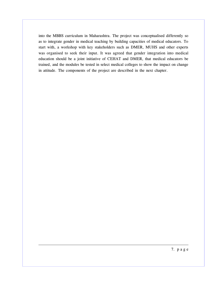into the MBBS curriculum in Maharashtra. The project was conceptualised differently so as to integrate gender in medical teaching by building capacities of medical educators. To start with, a workshop with key stakeholders such as DMER, MUHS and other experts was organised to seek their input. It was agreed that gender integration into medical education should be a joint initiative of CEHAT and DMER, that medical educators be trained, and the modules be tested in select medical colleges to show the impact on change in attitude. The components of the project are described in the next chapter.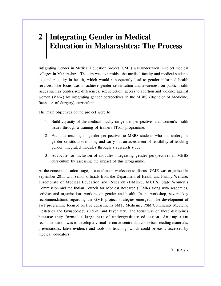## **2 Integrating Gender in Medical Education in Maharashtra: The Process**

Integrating Gender in Medical Education project (GME) was undertaken in select medical colleges in Maharashtra. The aim was to sensitise the medical faculty and medical students to gender equity in health, which would subsequently lead to gender informed health services. The focus was to achieve gender sensitisation and awareness on public health issues such as gender/sex differences, sex selection, access to abortion and violence against women (VAW) by integrating gender perspectives in the MBBS (Bachelor of Medicine, Bachelor of Surgery) curriculum.

The main objectives of the project were to

- 1. Build capacity of the medical faculty on gender perspectives and women's health issues through a training of trainers (ToT) programme.
- 2. Facilitate teaching of gender perspectives to MBBS students who had undergone gender sensitisation training and carry out an assessment of feasibility of teaching gender integrated modules through a research study.
- 3. Advocate for inclusion of modules integrating gender perspectives in MBBS curriculum by assessing the impact of this programme.

At the conceptualisation stage, a consultation workshop to discuss GME was organised in September 2011 with senior officials from the Department of Health and Family Welfare, Directorate of Medical Education and Research (DMER), MUHS, State Women's Commission and the Indian Council for Medical Research (ICMR) along with academics, activists and organisations working on gender and health. In the workshop, several key recommendations regarding the GME project strategies emerged: The development of ToT programme focused on five departments FMT, Medicine, PSM/Community Medicine Obstetrics and Gynaecology (ObGn) and Psychiatry. The focus was on these disciplines because they formed a large part of undergraduate education. An important recommendation was to develop a virtual resource centre that comprised reading materials, presentations, latest evidence and tools for teaching, which could be easily accessed by medical educators.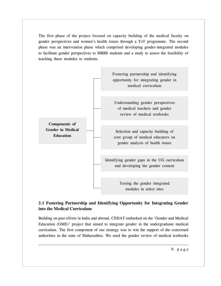The first phase of the project focused on capacity building of the medical faculty on gender perspectives and women's health issues through a ToT programme. The second phase was an intervention phase which comprised developing gender-integrated modules to facilitate gender perspectives to MBBS students and a study to assess the feasibility of teaching these modules to students.



### **2.1 Fostering Partnership and Identifying Opportunity for Integrating Gender into the Medical Curriculum**

Building on past efforts in India and abroad, CEHAT embarked on the 'Gender and Medical Education (GME)' project that aimed to integrate gender in the undergraduate medical curriculum. The first component of our strategy was to win the support of the concerned authorities in the state of Maharashtra. We used the gender review of medical textbooks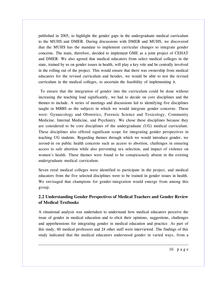published in 2005, to highlight the gender gaps in the undergraduate medical curriculum to the MUHS and DMER. During discussions with DMER and MUHS, we discovered that the MUHS has the mandate to implement curricular changes to integrate gender concerns. The team, therefore, decided to implement GME as a joint project of CEHAT and DMER. We also agreed that medical educators from select medical colleges in the state, trained by us on gender issues in health, will play a key role and be centrally involved in the rolling out of the project. This would ensure that there was ownership from medical educators for the revised curriculum and besides, we would be able to test the revised curriculum in the medical colleges, to ascertain the feasibility of implementing it.

 To ensure that the integration of gender into the curriculum could be done without increasing the teaching load significantly, we had to decide on core disciplines and the themes to include. A series of meetings and discussions led to identifying five disciplines taught in MBBS as the subjects in which we would integrate gender concerns. These were: Gynaecology and Obstetrics, Forensic Science and Toxicology, Community Medicine, Internal Medicine, and Psychiatry. We chose these disciplines because they are considered to be core disciplines of the undergraduate (UG) medical curriculum. These disciplines also offered significant scope for integrating gender perspectives in teaching UG students. Regarding themes through which we would introduce gender, we zeroed-in on public health concerns such as access to abortion, challenges in ensuring access to safe abortion while also preventing sex selection, and impact of violence on women's health. These themes were found to be conspicuously absent in the existing undergraduate medical curriculum.

Seven rural medical colleges were identified to participate in the project, and medical educators from the five selected disciplines were to be trained in gender issues in health. We envisaged that champions for gender-integration would emerge from among this group.

### **2.2 Understanding Gender Perspectives of Medical Teachers and Gender Review of Medical Textbooks**

A situational analysis was undertaken to understand how medical educators perceive the issue of gender in medical education and to elicit their opinions, suggestions, challenges and apprehensions for integrating gender in medical education and practice. As part of this study, 60 medical professors and 24 other staff were interviewed. The findings of this study indicated that the medical educators understood gender in varied ways, from a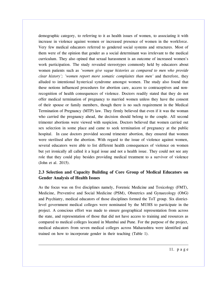demographic category, to referring to it as health issues of women, to associating it with increase in violence against women or increased presence of women in the workforce. Very few medical educators referred to gendered social systems and structures. Most of them were of the opinion that gender as a social determinant was irrelevant to the medical curriculum. They also opined that sexual harassment is an outcome of increased women's work participation. The study revealed stereotypes commonly held by educators about women patients such as *'women give vague histories as compared to men who provide clear history'; 'women report more somatic complaints than men'* and therefore, they alluded to intentional hysterical syndrome amongst women. The study also found that these notions influenced procedures for abortion care, access to contraceptives and nonrecognition of health consequences of violence. Doctors readily stated that they do not offer medical termination of pregnancy to married women unless they have the consent of their spouse or family members, though there is no such requirement in the Medical Termination of Pregnancy (MTP) law. They firmly believed that even if it was the woman who carried the pregnancy ahead, the decision should belong to the couple. All second trimester abortions were viewed with suspicion. Doctors believed that women carried out sex selection in some place and came to seek termination of pregnancy at the public hospital. In case doctors provided second trimester abortion, they ensured that women were sterilised after the abortion. With regard to the issue of violence against women, several educators were able to list different health consequences of violence on women but yet ironically all called it a legal issue and not a health issue. They could not see any role that they could play besides providing medical treatment to a survivor of violence (John et al. 2015).

#### **2.3 Selection and Capacity Building of Core Group of Medical Educators on Gender Analysis of Health Issues**

As the focus was on five disciplines namely, Forensic Medicine and Toxicology (FMT), Medicine, Preventive and Social Medicine (PSM), Obstetrics and Gynaecology (ObG) and Psychiatry, medical educators of those disciplines formed the ToT group. Six districtlevel government medical colleges were nominated by the MUHS to participate in the project. A conscious effort was made to ensure geographical representation from across the state, and representation of those that did not have access to training and resources as compared to medical colleges located in Mumbai and Pune. For the purpose of the project, medical educators from seven medical colleges across Maharashtra were identified and trained on how to incorporate gender in their teaching (Table 1).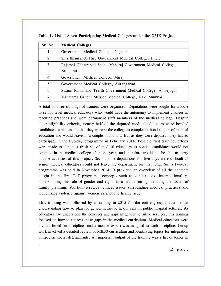| Sr. No.        | <b>Medical Colleges</b>                                        |  |  |
|----------------|----------------------------------------------------------------|--|--|
| 1              | Government Medical College, Nagpur                             |  |  |
| 2              | Shri Bhausaheb Hire Government Medical College, Dhule          |  |  |
| 3              | Rajarshi Chhatrapati Shahu Maharaj Government Medical College, |  |  |
|                | Kolhapur                                                       |  |  |
| $\overline{4}$ | Government Medical College, Miraj                              |  |  |
| 5              | Government Medical College, Aurangabad                         |  |  |
| 6              | Swami Ramanand Teerth Government Medical College, Ambejogai    |  |  |
| 7              | Mahatama Gandhi Mission Medical College, Navi Mumbai           |  |  |

**Table 1. List of Seven Participating Medical Colleges under the GME Project**

A total of three trainings of trainers were organised. Deputations were sought for middle to senior level medical educators who would have the autonomy to implement changes in teaching practices and were permanent staff members of the medical college. Despite clear eligibility criteria, nearly half of the deputed medical educators were bonded candidates, which meant that they were at the college to complete a bond as part of medical education and would leave in a couple of months. But as they were deputed, they had to participate in the five-day programme in February 2014. Post the first training, efforts were made to depute a fresh set of medical educators as bonded candidates would not continue in the medical college after one year, and therefore would not be able to carry out the activities of this project. Second time deputations for five days were difficult as senior medical educators could not leave the department for that long. So, a two-day programme was held in November 2014. It provided an overview of all the contents taught in the first ToT program - concepts such as gender, sex, intersectionality, understanding the role of gender and rights in a health setting, debating the issues of family planning, abortion services, ethical issues surrounding medical practices and recognising violence against women as a public health issue.

This training was followed by a training in 2015 for the entire group that aimed at understanding how to plan for gender sensitive health care in public hospital settings. As educators had understood the concepts and gaps in gender sensitive services, this training focused on how to address these gaps in the medical curriculum. Medical educators were divided based on disciplines and a mentor expert was assigned to each discipline. Group work involved a detailed review of MBBS curriculum and identifying topics for integration of specific social determinants. An important output of the training was a list of topics in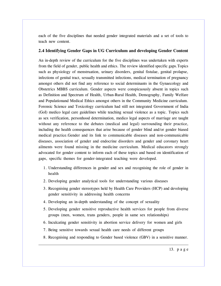each of the five disciplines that needed gender integrated materials and a set of tools to teach new content.

#### **2.4 Identifying Gender Gaps in UG Curriculum and developing Gender Content**

An in-depth review of the curriculum for the five disciplines was undertaken with experts from the field of gender, public health and ethics. The review identified specific gaps.Topics such as physiology of menstruation, urinary disorders, genital fistulae, genital prolapse, infections of genital tract, sexually transmitted infections, medical termination of pregnancy amongst others did not find any reference to social determinants in the Gynaecology and Obstetrics MBBS curriculum. Gender aspects were conspicuously absent in topics such as Definition and Spectrum of Health, Urban-Rural Health, Demography, Family Welfare and Populationand Medical Ethics amongst others in the Community Medicine curriculum. Forensic Science and Toxicology curriculum had still not integrated Government of India (GoI) medico legal care guidelines while teaching sexual violence as a topic. Topics such as sex verification, personhood determination, medico legal aspects of marriage are taught without any reference to the debates (medical and legal) surrounding their practice, including the health consequences that arise because of gender blind and/or gender biased medical practice.Gender and its link to communicable diseases and non-communicable diseases, association of gender and endocrine disorders and gender and coronary heart ailments were found missing in the medicine curriculum. Medical educators strongly advocated for gender content to inform each of these topics and based on identification of gaps, specific themes for gender-integrated teaching were developed.

- 1. Understanding differences in gender and sex and recognising the role of gender in health
- 2. Developing gender analytical tools for understanding various diseases
- 3. Recognising gender stereotypes held by Health Care Providers (HCP) and developing gender sensitivity in addressing health concerns
- 4. Developing an in-depth understanding of the concept of sexuality
- 5. Developing gender sensitive reproductive health services for people from diverse groups (men, women, trans genders, people in same sex relationships)
- 6. Inculcating gender sensitivity in abortion service delivery for women and girls
- 7. Being sensitive towards sexual health care needs of different groups
- 8. Recognising and responding to Gender based violence (GBV) in a sensitive manner.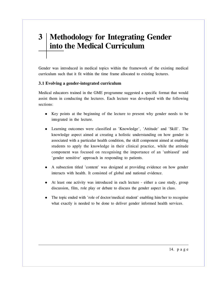## **3 Methodology for Integrating Gender into the Medical Curriculum**

Gender was introduced in medical topics within the framework of the existing medical curriculum such that it fit within the time frame allocated to existing lectures.

#### **3.1 Evolving a gender-integrated curriculum**

Medical educators trained in the GME programme suggested a specific format that would assist them in conducting the lectures. Each lecture was developed with the following sections:

- Key points at the beginning of the lecture to present why gender needs to be integrated in the lecture.
- Learning outcomes were classified as 'Knowledge', 'Attitude' and 'Skill'. The knowledge aspect aimed at creating a holistic understanding on how gender is associated with a particular health condition, the skill component aimed at enabling students to apply the knowledge in their clinical practice, while the attitude component was focused on recognising the importance of an 'unbiased' and 'gender sensitive' approach in responding to patients.
- A subsection titled 'content' was designed at providing evidence on how gender interacts with health. It consisted of global and national evidence.
- At least one activity was introduced in each lecture either a case study, group discussion, film, role play or debate to discuss the gender aspect in class.
- The topic ended with 'role of doctor/medical student' enabling him/her to recognise what exactly is needed to be done to deliver gender informed health services.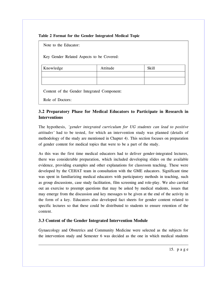#### **Table 2 Format for the Gender Integrated Medical Topic**

Note to the Educator:

Key Gender Related Aspects to be Covered:

| Knowledge | Attitude | <b>Skill</b> |
|-----------|----------|--------------|
|           |          |              |
|           |          |              |

Content of the Gender Integrated Component:

Role of Doctors:

### **3.2 Preparatory Phase for Medical Educators to Participate in Research in Interventions**

The hypothesis, *'gender integrated curriculum for UG students can lead to positive attitudes'* had to be tested, for which an intervention study was planned (details of methodology of the study are mentioned in Chapter 4). This section focuses on preparation of gender content for medical topics that were to be a part of the study.

As this was the first time medical educators had to deliver gender-integrated lectures, there was considerable preparation, which included developing slides on the available evidence, providing examples and other explanations for classroom teaching. These were developed by the CEHAT team in consultation with the GME educators. Significant time was spent in familiarizing medical educators with participatory methods in teaching, such as group discussions, case study facilitation, film screening and role-play. We also carried out an exercise to preempt questions that may be asked by medical students, issues that may emerge from the discussion and key messages to be given at the end of the activity in the form of a key. Educators also developed fact sheets for gender content related to specific lectures so that these could be distributed to students to ensure retention of the content.

### **3.3 Content of the Gender Integrated Intervention Module**

Gynaecology and Obstetrics and Community Medicine were selected as the subjects for the intervention study and Semester 6 was decided as the one in which medical students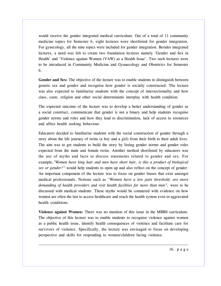would receive the gender integrated medical curriculum. Out of a total of 11 community medicine topics for Semester 6, eight lectures were shortlisted for gender integration. For gynecology, all the nine topics were included for gender integration. Besides integrated lectures, a need was felt to create two foundation lectures namely 'Gender and Sex in Health' and 'Violence against Women (VAW) as a Health Issue'. Two such lectures were to be introduced in Community Medicine and Gynaecology and Obstetrics for Semester 6.

**Gender and Sex:** The objective of the lecture was to enable students to distinguish between genetic sex and gender and recognise how gender is socially constructed. The lecture was also expected to familiarise students with the concept of intersectionality and how class, caste, religion and other social determinants interplay with health condition.

The expected outcome of the lecture was to develop a better understanding of gender as a social construct, communicate that gender is not a binary and help students recognise gender norms and roles and how they lead to discrimination, lack of access to resources and affect health seeking behaviour.

Educators decided to familiarise students with the social construction of gender through a story about the life journey of twins (a boy and a girl) from their birth to their adult lives. The aim was to get students to build the story by listing gender norms and gender roles expected from the male and female twins. Another method shortlisted by educators was the use of myths and facts to discuss statements related to gender and sex. For example,*"Women have long hair and men have short hair, is this a product of biological sex or gender?"* would help students to open up and also reflect on the concept of gender. An important component of the lecture was to focus on gender biases that exist amongst medical professionals. Notions such as *"Women have a low pain threshold, are more demanding of health providers and visit health facilities far more than men",* were to be discussed with medical students. These myths would be countered with evidence on how women are often the last to access healthcare and reach the health system even in aggravated health conditions.

**Violence against Women:** There was no mention of this issue in the MBBS curriculum. The objective of this lecture was to enable students to recognise violence against women as a public health issue, identify health consequences of violence and facilitate care for survivors of violence. Specifically, the lecture was envisaged to focus on developing perspective and skills for responding to women/children facing violence.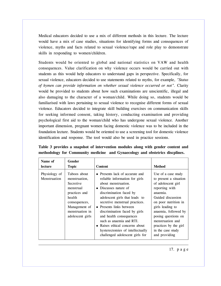Medical educators decided to use a mix of different methods in this lecture. The lecture would have a mix of case studies, situations for identifying forms and consequences of violence, myths and facts related to sexual violence/rape and role play to demonstrate skills in responding to women/children.

Students would be oriented to global and national statistics on VAW and health consequences. Value clarification on why violence occurs would be carried out with students as this would help educators to understand gaps in perspective. Specifically, for sexual violence, educators decided to use statements related to myths, for example, *"Status of hymen can provide information on whether sexual violence occurred or not".* Clarity would be provided to students about how such examinations are unscientific, illegal and also damaging to the character of a woman/child. While doing so, students would be familiarised with laws pertaining to sexual violence to recognise different forms of sexual violence. Educators decided to integrate skill building exercises on communication skills for seeking informed consent, taking history, conducting examination and providing psychological first aid to the woman/child who has undergone sexual violence. Another important dimension, pregnant women facing domestic violence was to be included in the foundation lecture. Students would be oriented to use a screening tool for domestic violence identification and response. The tool would also be used in practice sessions.

| Name of<br>lecture            | <b>Gender</b><br><b>Topic</b>                                                                                                                               | <b>Content</b>                                                                                                                                                                                                                                                                                                                                                                                                                                 | <b>Method</b>                                                                                                                                                                                                                                                                                        |
|-------------------------------|-------------------------------------------------------------------------------------------------------------------------------------------------------------|------------------------------------------------------------------------------------------------------------------------------------------------------------------------------------------------------------------------------------------------------------------------------------------------------------------------------------------------------------------------------------------------------------------------------------------------|------------------------------------------------------------------------------------------------------------------------------------------------------------------------------------------------------------------------------------------------------------------------------------------------------|
| Physiology of<br>Menstruation | Taboos about<br>menstruation,<br>Secretive<br>menstrual<br>practices and<br>health<br>consequences,<br>Management of<br>menstruation in<br>adolescent girls | • Presents lack of accurate and<br>reliable information for girls<br>about menstruation.<br>• Discusses nature of<br>discrimination faced by<br>adolescent girls that leads to<br>secretive menstrual practices.<br>• Presents links between<br>discrimination faced by girls<br>and health consequences<br>such as anaemia and RTI.<br>• Raises ethical concerns about<br>hysterectomies of intellectually<br>challenged adolescent girls for | Use of a case study<br>to present a situation<br>of adolescent girl<br>reporting with<br>anaemia.<br>Guided discussion<br>on poor nutrition in<br>girls leading to<br>anaemia, followed by<br>posing questions on<br>menstruation and<br>practices by the girl<br>in the case study<br>and providing |

**Table 3 provides a snapshot of intervention modules along with gender content and methodology for Community medicine and Gynaecology and obstetrics discplines.**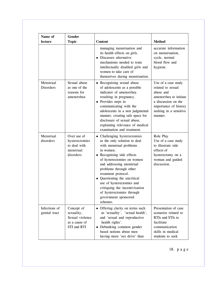| Name of                        | <b>Gender</b>                                                               |                                                                                                                                                                                                                                                                                                                                                                                                               |                                                                                                                                                                      |
|--------------------------------|-----------------------------------------------------------------------------|---------------------------------------------------------------------------------------------------------------------------------------------------------------------------------------------------------------------------------------------------------------------------------------------------------------------------------------------------------------------------------------------------------------|----------------------------------------------------------------------------------------------------------------------------------------------------------------------|
| lecture                        | <b>Topic</b>                                                                | <b>Content</b>                                                                                                                                                                                                                                                                                                                                                                                                | <b>Method</b>                                                                                                                                                        |
|                                |                                                                             | managing menstruation and<br>its health effects on girls.<br>Discusses alternative<br>$\bullet$<br>mechanisms needed to train<br>intellectually disabled girls and<br>women to take care of<br>themselves during menstruation.                                                                                                                                                                                | accurate information<br>on menstruation,<br>cycle, normal<br>blood flow and<br>hygiene.                                                                              |
| Menstrual<br>Disorders         | Sexual abuse<br>as one of the<br>reasons for<br>amenorrhea                  | • Recognising sexual abuse<br>of adolescents as a possible<br>indicator of amenorrhea<br>resulting in pregnancy.<br>• Provides steps in<br>communicating with the<br>adolescents in a non judgmental<br>manner, creating safe space for<br>disclosure of sexual abuse,<br>explaining relevance of medical<br>examination and treatment.                                                                       | Use of a case study<br>related to sexual<br>abuse and<br>amenorrhea to initiate<br>a discussion on the<br>importance of history<br>seeking in a sensitive<br>manner. |
| Menstrual<br>disorders         | Over use of<br>hysterectomies<br>to deal with<br>menstrual<br>disorders     | • Challenging hysterectomies<br>as the only solution to deal<br>with menstrual problems<br>in women.<br>• Recognising side effects<br>of hysterectomies on women<br>and addressing menstrual<br>problems through other<br>treatment protocol.<br>• Questioning the uncritical<br>use of hysterectomies and<br>critiquing the incentivisation<br>of hysterectomies through<br>government sponsored<br>schemes. | Role Play<br>Use of a case study<br>to illustrate side<br>effects of<br>hysterectomy on a<br>woman and guided<br>discussion.                                         |
| Infections of<br>genital tract | Concept of<br>sexuality,<br>Sexual violence<br>as a cause of<br>STI and RTI | • Offering clarity on terms such<br>as 'sexuality', 'sexual health',<br>and 'sexual and reproductive<br>health rights'.<br>• Debunking common gender<br>based notions about men<br>having more 'sex drive' than                                                                                                                                                                                               | Presentation of case<br>scenarios related to<br>RTIs and STIs to<br>facilitate<br>communication<br>skills in medical<br>students to seek                             |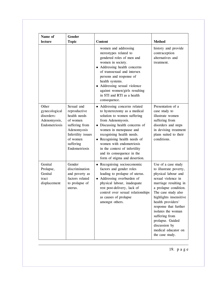| Name of                                                               | <b>Gender</b>                                                                                                                                           |                                                                                                                                                                                                                                                                                                                                                                      |                                                                                                                                                                                                                                                                                                                                                                    |
|-----------------------------------------------------------------------|---------------------------------------------------------------------------------------------------------------------------------------------------------|----------------------------------------------------------------------------------------------------------------------------------------------------------------------------------------------------------------------------------------------------------------------------------------------------------------------------------------------------------------------|--------------------------------------------------------------------------------------------------------------------------------------------------------------------------------------------------------------------------------------------------------------------------------------------------------------------------------------------------------------------|
| lecture                                                               | <b>Topic</b>                                                                                                                                            | <b>Content</b>                                                                                                                                                                                                                                                                                                                                                       | <b>Method</b>                                                                                                                                                                                                                                                                                                                                                      |
|                                                                       |                                                                                                                                                         | women and addressing<br>stereotypes related to<br>gendered roles of men and<br>women in society.<br>• Addressing health concerns<br>of transsexual and intersex<br>persons and response of<br>health systems.<br>Addressing sexual violence<br>against women/girls resulting<br>in STI and RTI as a health<br>consequence.                                           | history and provide<br>contraception<br>alternatives and<br>treatment.                                                                                                                                                                                                                                                                                             |
| Other<br>gynecological<br>disorders:<br>Adenomyosis,<br>Endometriosis | Sexual and<br>reproductive<br>health needs<br>of women<br>suffering from<br>Adenomyosis<br>Infertility issues<br>of women<br>suffering<br>Endometriosis | Addressing concerns related<br>to hysterectomy as a medical<br>solution to women suffering<br>from Adenomyosis.<br>Discussing health concerns of<br>women in menopause and<br>recognising health needs.<br>• Recognising health needs of<br>women with endometriosis<br>in the context of infertility<br>and its consequence in the<br>form of stigma and desertion. | Presentation of a<br>case study to<br>illustrate women<br>suffering from<br>disorders and steps<br>in devising treatment<br>plans suited to their<br>conditions.                                                                                                                                                                                                   |
| Genital<br>Prolapse,<br>Genital<br>tract<br>displacement              | Gender<br>discrimination<br>and poverty as<br>factors related<br>to prolapse of<br>uterus.                                                              | • Recognising socioeconomic<br>factors and gender roles<br>leading to prolapse of uterus.<br>Addressing overburden of<br>physical labour, inadequate<br>rest post-delivery, lack of<br>control over sexual relationships<br>as causes of prolapse<br>amongst others.                                                                                                 | Use of a case study<br>to illustrate poverty,<br>physical labour and<br>sexual violence in<br>marriage resulting in<br>a prolapse condition.<br>The case study also<br>highlights insensitive<br>health providers'<br>response that further<br>isolates the woman<br>suffering from<br>prolapse. Guided<br>discussion by<br>medical educator on<br>the case study. |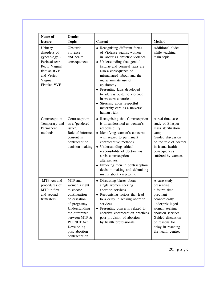| Name of                                                                                                                                        | <b>Gender</b>                                                                                                                                                                                              |                                                                                                                                                                                                                                                                                                                                                                                                                                                            |                                                                                                                                                                                                                     |
|------------------------------------------------------------------------------------------------------------------------------------------------|------------------------------------------------------------------------------------------------------------------------------------------------------------------------------------------------------------|------------------------------------------------------------------------------------------------------------------------------------------------------------------------------------------------------------------------------------------------------------------------------------------------------------------------------------------------------------------------------------------------------------------------------------------------------------|---------------------------------------------------------------------------------------------------------------------------------------------------------------------------------------------------------------------|
| lecture<br>Urinary<br>disorders of<br>gynecology -<br>Perineal tears<br>Recto Vaginal<br>fistulae RVF<br>and Vesico<br>Vaginal<br>Fistulae VVF | <b>Topic</b><br>Obstetric<br>violence<br>and health<br>consequences                                                                                                                                        | <b>Content</b><br>• Recognising different forms<br>of Violence against women<br>in labour as obstetric violence.<br>• Understanding that genital<br>fistulae and perineal tears are<br>also a consequence of<br>mismanaged labour and the<br>indiscriminate use of<br>episiotomy.<br>• Presenting laws developed<br>to address obstetric violence<br>in western countries.<br>• Stressing upon respectful<br>maternity care as a universal<br>human right. | <b>Method</b><br>Additional slides<br>while teaching<br>main topic.                                                                                                                                                 |
| Contraception-<br>Temporary and<br>Permanent<br>methods                                                                                        | Contraception<br>as a 'gendered<br>issue'.<br>Role of informed<br>consent in<br>contraception<br>decision making                                                                                           | • Recognising that Contraception<br>is misunderstood as women's<br>responsibility.<br>• Identifying women's concerns<br>with regard to permanent<br>contraceptive methods.<br>• Understanding ethical<br>responsibility of doctors vis<br>a vis contraception<br>alternatives.<br>• Involving men in contraception<br>decision-making and debunking<br>myths about vasectomy.                                                                              | A real time case<br>study of Bilaspur<br>mass sterilization<br>camp.<br>Guided discussion<br>on the role of doctors<br>in it and health<br>consequences<br>suffered by women.                                       |
| MTP Act and<br>procedures of<br>MTP in first<br>and second<br>trimesters                                                                       | MTP and<br>women's right<br>to choose<br>continuation<br>or cessation<br>of pregnancy.<br>Understanding<br>the difference<br>between MTP &<br>PCPNDT Act.<br>Developing<br>post abortion<br>contraception. | • Discussing biases about<br>single women seeking<br>abortion services<br>• Recognising factors that lead<br>to a delay in seeking abortion<br>services<br>Presenting concerns related to<br>coercive contraception practices<br>post provision of abortion<br>by health professionals.                                                                                                                                                                    | A case study<br>presenting<br>a fourth time<br>pregnant<br>economically<br>underprivileged<br>woman seeking<br>abortion services.<br>Guided discussion<br>on reasons for<br>delay in reaching<br>the health centre. |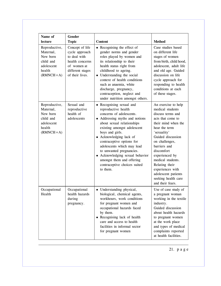| Name of<br>lecture                                                                         | <b>Gender</b><br><b>Topic</b>                                                                                              | <b>Content</b>                                                                                                                                                                                                                                                                                                                                                                                                              | <b>Method</b>                                                                                                                                                                                                                                                                                                                                                |
|--------------------------------------------------------------------------------------------|----------------------------------------------------------------------------------------------------------------------------|-----------------------------------------------------------------------------------------------------------------------------------------------------------------------------------------------------------------------------------------------------------------------------------------------------------------------------------------------------------------------------------------------------------------------------|--------------------------------------------------------------------------------------------------------------------------------------------------------------------------------------------------------------------------------------------------------------------------------------------------------------------------------------------------------------|
| Reproductive,<br>Maternal,<br>New born<br>child and<br>adolescent<br>health<br>$(RMNCH+A)$ | Concept of life<br>cycle approach<br>to deal with<br>health concerns<br>of women at<br>different stages<br>of their lives. | • Recognising the effect of<br>gender norms and gender<br>roles played by women and<br>its relationship to their<br>health status right from<br>childhood to ageing.<br>• Understanding the social<br>context of health conditions<br>such as anaemia, white<br>discharge, pregnancy,<br>contraception, neglect and<br>under nutrition amongst others.                                                                      | Case studies based<br>on different life<br>stages of women<br>from birth, child hood,<br>adolescent, adult life<br>and old age. Guided<br>discussion on life<br>cycle approach for<br>responding to health<br>conditions at each<br>of these stages.                                                                                                         |
| Reproductive,<br>Maternal,<br>New born<br>child and<br>adolescent<br>health<br>$(RMNCH+A)$ | Sexual and<br>reproductive<br>health of<br>adolescents                                                                     | • Recognising sexual and<br>reproductive health<br>concerns of adolescents.<br>• Addressing myths and notions<br>about sexual relationships<br>existing amongst adolescent<br>boys and girls.<br>• Acknowledging lack of<br>contraceptive options for<br>adolescents which may lead<br>to unwanted pregnancies.<br>• Acknowledging sexual behavior<br>amongst them and offering<br>contraceptive choices suited<br>to them. | An exercise to help<br>medical students<br>discuss terms and<br>acts that come to<br>their mind when the<br>hear the term<br>'sexuality'<br>Guided discussion<br>on challenges,<br>barriers and<br>discomfort<br>experienced by<br>medical students.<br>Relating their<br>experiences with<br>adolescent patients<br>seeking health care<br>and their fears. |
| Occupational<br>Health                                                                     | Occupational<br>health hazards<br>during<br>pregnancy.                                                                     | • Understanding physical,<br>biological, chemical agents,<br>workhours, work conditions<br>for pregnant women and<br>occupational hazards faced<br>by them.<br>• Recognising lack of health<br>care and access to health<br>facilities in informal sector<br>for pregnant women                                                                                                                                             | Use of case study of<br>a pregnant woman<br>working in the textile<br>industry.<br>Guided discussion<br>about health hazards<br>to pregnant women<br>at the work place<br>and types of medical<br>complaints reported<br>at health facilities.                                                                                                               |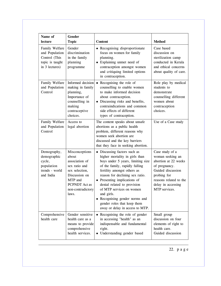| Name of<br>lecture                                                                     | <b>Gender</b><br><b>Topic</b>                                                                                                                           | <b>Content</b>                                                                                                                                                                                                                                                                                                                                                                                                     | <b>Method</b>                                                                                                                                                                     |
|----------------------------------------------------------------------------------------|---------------------------------------------------------------------------------------------------------------------------------------------------------|--------------------------------------------------------------------------------------------------------------------------------------------------------------------------------------------------------------------------------------------------------------------------------------------------------------------------------------------------------------------------------------------------------------------|-----------------------------------------------------------------------------------------------------------------------------------------------------------------------------------|
| Family Welfare<br>and Population<br>Control (This<br>topic is taught<br>in 3 lectures) | Gender<br>discrimination<br>in the family<br>planning<br>programme                                                                                      | • Recognising disproportionate<br>focus on women for family<br>planning.<br>Explaining unmet need of<br>$\bullet$<br>contraception amongst women<br>and critiquing limited options<br>in contraception.                                                                                                                                                                                                            | Case based<br>discussion on<br>sterilization camp<br>conducted in Kerala<br>and ethical concerns<br>about quality of care.                                                        |
| Family Welfare<br>and Population<br>Control                                            | Informed decision<br>making in family<br>planning,<br>Importance of<br>counselling in<br>making<br>contraceptive<br>choices.                            | Recognising the role of<br>$\bullet$<br>counselling to enable women<br>to make informed decision<br>about contraception.<br>Discussing risks and benefits,<br>contraindications and common<br>side effects of different<br>types of contraception.                                                                                                                                                                 | Role play by medical<br>students to<br>demonstrate<br>counselling different<br>women about<br>contraception<br>choices.                                                           |
| Family Welfare<br>and Population<br>Control                                            | Access to<br>legal abortion                                                                                                                             | The content speaks about unsafe<br>abortions as a public health<br>problem, different reasons why<br>women seek abortion are<br>discussed and the key barriers<br>that they face in seeking abortion.                                                                                                                                                                                                              | Use of a Case study                                                                                                                                                               |
| Demography,<br>demographic<br>cycle,<br>population<br>trends - world<br>and India      | Misconceptions<br>about<br>association of<br>sex ratio and<br>sex selection,<br>Discussion on<br>MTP and<br>PCPNDT Act as<br>non-contradictory<br>laws. | • Discussing factors such as<br>higher mortality in girls than<br>boys under 5 years, limiting size<br>of the family, rapidly falling<br>fertility amongst others as<br>reason for declining sex ratio.<br>• Presenting implications of<br>denial related to provision<br>of MTP services on women<br>and girls.<br>Recognising gender norms and<br>gender roles that keep them<br>away or delay in access to MTP. | Case study of a<br>woman seeking an<br>abortion at 22 weeks<br>of pregnancy.<br>Guided discussion<br>probing for<br>reasons related to the<br>delay in accessing<br>MTP services. |
| Comprehensive<br>health care                                                           | Gender sensitive<br>health care as a<br>means to provide<br>comprehensive<br>health services.                                                           | • Recognising the role of gender<br>in accessing "health" as an<br>indispensable and fundamental<br>right.<br>Understanding gender based                                                                                                                                                                                                                                                                           | Small group<br>discussion on four<br>elements of right to<br>health care.<br>Guided discussion                                                                                    |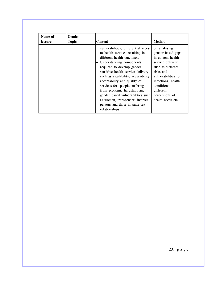| Name of<br>lecture | <b>Gender</b><br><b>Topic</b> | <b>Content</b>                                                                                                                                                                                                                                                                                                                                                                                                                                                            | <b>Method</b>                                                                                                                                                                                                               |
|--------------------|-------------------------------|---------------------------------------------------------------------------------------------------------------------------------------------------------------------------------------------------------------------------------------------------------------------------------------------------------------------------------------------------------------------------------------------------------------------------------------------------------------------------|-----------------------------------------------------------------------------------------------------------------------------------------------------------------------------------------------------------------------------|
|                    |                               | vulnerabilities, differential access<br>to health services resulting in<br>different health outcomes.<br>• Understanding components<br>required to develop gender<br>sensitive health service delivery<br>such as availability, accessibility,<br>acceptability and quality of<br>services for people suffering<br>from economic hardships and<br>gender based vulnerabilities such<br>as women, transgender, intersex<br>persons and those in same sex<br>relationships. | on analysing<br>gender based gaps<br>in current health<br>service delivery<br>such as different<br>risks and<br>vulnerabilities to<br>infections, health<br>conditions,<br>different<br>perceptions of<br>health needs etc. |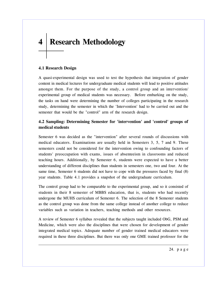# **4 Research Methodology**

## **4.1 Research Design**

A quasi-experimental design was used to test the hypothesis that integration of gender content in medical lectures for undergraduate medical students will lead to positive attitudes amongst them. For the purpose of the study, a control group and an intervention/ experimental group of medical students was necessary. Before embarking on the study, the tasks on hand were determining the number of colleges participating in the research study, determining the semester in which the 'Intervention' had to be carried out and the semester that would be the "control" arm of the research design.

## **4.2 Sampling: Determining Semester for 'intervention' and 'control' groups of medical students**

Semester 6 was decided as the "intervention" after several rounds of discussions with medical educators. Examinations are usually held in Semesters 3, 5, 7 and 9. These semesters could not be considered for the intervention owing to confounding factors of students' preoccupation with exams, issues of absenteeism in classrooms and reduced teaching hours. Additionally, by Semester 6, students were expected to have a better understanding of different disciplines than students in semesters one, two and four. At the same time, Semester 6 students did not have to cope with the pressures faced by final (8) year students. Table 4.1 provides a snapshot of the undergraduate curriculum.

The control group had to be comparable to the experimental group, and so it consisted of students in their 8 semester of MBBS education, that is, students who had recently undergone the MUHS curriculum of Semester 6. The selection of the 8 Semester students as the control group was done from the same college instead of another college to reduce variables such as variation in teachers, teaching methods and other resources.

A review of Semester 6 syllabus revealed that the subjects taught included ObG, PSM and Medicine, which were also the disciplines that were chosen for development of gender integrated medical topics. Adequate number of gender trained medical educators were required in these three disciplines. But there was only one GME trained professor for the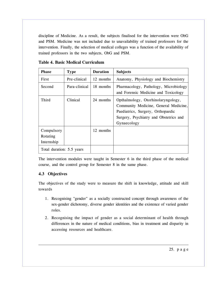discipline of Medicine. As a result, the subjects finalised for the intervention were ObG and PSM. Medicine was not included due to unavailability of trained professors for the intervention. Finally, the selection of medical colleges was a function of the availability of trained professors in the two subjects, ObG and PSM.

| <b>Phase</b>                         | <b>Type</b>   | <b>Duration</b> | <b>Subjects</b>                                                                                                                                                           |
|--------------------------------------|---------------|-----------------|---------------------------------------------------------------------------------------------------------------------------------------------------------------------------|
| First                                | Pre-clinical  | 12 months       | Anatomy, Physiology and Biochemistry                                                                                                                                      |
| Second                               | Para-clinical | 18 months       | Pharmacology, Pathology, Microbiology<br>and Forensic Medicine and Toxicology                                                                                             |
| Third                                | Clinical      | 24 months       | Opthalmology, Otorhinolaryngology,<br>Community Medicine, General Medicine,<br>Paediatrics, Surgery, Orthopaedic<br>Surgery, Psychiatry and Obstetrics and<br>Gynaecology |
| Compulsory<br>Rotating<br>Internship |               | 12 months       |                                                                                                                                                                           |
| Total duration: 5.5 years            |               |                 |                                                                                                                                                                           |

**Table 4. Basic Medical Curriculum**

The intervention modules were taught in Semester 6 in the third phase of the medical course, and the control group for Semester 8 in the same phase.

## **4.3 Objectives**

The objectives of the study were to measure the shift in knowledge, attitude and skill towards

- 1. Recognising "gender" as a socially constructed concept through awareness of the sex-gender dichotomy, diverse gender identities and the existence of varied gender roles.
- 2. Recognising the impact of gender as a social determinant of health through differences in the nature of medical conditions, bias in treatment and disparity in accessing resources and healthcare.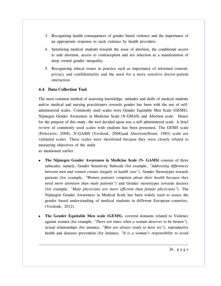- 3. Recognising health consequences of gender based violence and the importance of an appropriate response to such violence by health providers.
- 4. Sensitising medical students towards the issue of abortion, the conditional access to safe abortion, access to contraception and sex selection as a manifestation of deep rooted gender inequality.
- 5. Recognising ethical issues in practice such as importance of informed consent, privacy and confidentiality and the need for a more sensitive doctor-patient interaction.

## **4.4 Data Collection Tool**

The most common method of assessing knowledge, attitudes and skills of medical students and/or medical and nursing practitioners towards gender has been with the use of selfadministered scales. Commonly used scales were Gender Equitable Men Scale (GEMS), Nijmegen Gender Awareness in Medicine Scale (N-GMAS) and Abortion scale. Hence for the purpose of this study, the tool decided upon was a self administered scale. A brief review of commonly used scales with students has been presented. The GEMS scale (Pulerwitz, 2008), N-GAMS (Verdonk, 2008)and Abortion(Sloan, 1983) scale are validated scales. These scales were shortlisted because they were closely related to measuring objectives of the study

as mentioned earlier.

- **The Nijmegen Gender Awareness in Medicine Scale (N- GAMS)** consists of three subscales, namely, Gender Sensitivity Subscale (for example, *"Addressing differences between men and women creates inequity in health care"),* Gender Stereotypes towards patients (for example, *"Women patients complain about their health because they need more attention than male patients")* and Gender stereotypes towards doctors (for example, *"Male physicians are more efficient than female physicians").* The Nijmegen Gender Awareness in Medical Scale has been widely used to assess the gender based understanding of medical students in different European countries, (Verdonk, 2012).
- **The Gender Equitable Men scale (GEMS),** covered domains related to Violence against women (for example, *"There are times when a woman deserves to be beaten"),* sexual relationships (for instance, *"Men are always ready to have sex"),* reproductive health and diseases prevention (for instance, *"It is a woman's responsibility to avoid*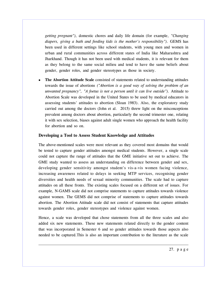*getting pregnant"),* domestic chores and daily life domain (for example, *"Changing diapers, giving a bath and feeding kids is the mother's responsibility").* GEMS has been used in different settings like school students, with young men and women in urban and rural communities across different states of India like Maharashtra and Jharkhand. Though it has not been used with medical students, it is relevant for them as they belong to the same social milieu and tend to have the same beliefs about gender, gender roles, and gender stereotypes as those in society.

 **The Abortion Attitude Scale** consisted of statements related to understanding attitudes towards the issue of abortions *("Abortion is a good way of solving the problem of an unwanted pregnancy", "A foetus is not a person until it can live outside"*). Attitude to Abortion Scale was developed in the United States to be used by medical educators in assessing students' attitudes to abortion (Sloan 1983). Also, the exploratory study carried out among the doctors (John et al. 2015) threw light on the misconceptions prevalent among doctors about abortion, particularly the second trimester one, relating it with sex selection, biases against adult single women who approach the health facility for abortion and so on.

#### **Developing a Tool to Assess Student Knowledge and Attitudes**

The above-mentioned scales were most relevant as they covered most domains that would be tested to capture gender attitudes amongst medical students. However, a single scale could not capture the range of attitudes that the GME initiative set out to achieve. The GME study wanted to assess an understanding on difference between gender and sex, developing gender sensitivity amongst student's vis-a-vis women facing violence, increasing awareness related to delays in seeking MTP services, recognising gender diversities and health needs of sexual minority communities. The scale had to capture attitudes on all these fronts. The existing scales focused on a different set of issues. For example, N-GAMS scale did not comprise statements to capture attitudes towards violence against women. The GEMS did not comprise of statements to capture attitudes towards abortion. The Abortion Attitude scale did not consist of statements that capture attitudes towards gender roles, gender stereotypes and violence against women.

Hence, a scale was developed that chose statements from all the three scales and also added six new statements. These new statements related directly to the gender content that was incorporated in Semester 6 and so gender attitudes towards those aspects also needed to be captured.This is also an important contribution to the literature as the scale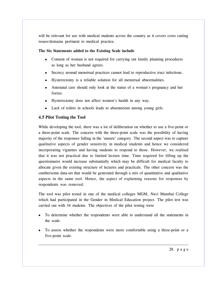will be relevant for use with medical students across the country as it covers cross cutting issues/domains pertinent to medical practice.

#### **The Six Statements added to the Existing Scale include**

- Consent of woman is not required for carrying out family planning procedures as long as her husband agrees.
- Secrecy around menstrual practices cannot lead to reproductive tract infections.
- Hysterectomy is a reliable solution for all menstrual abnormalities.
- Antenatal care should only look at the status of a woman's pregnancy and her foetus.
- Hysterectomy does not affect women's health in any way.
- Lack of toilets in schools leads to absenteeism among young girls.

## **4.5 Pilot Testing the Tool**

While developing the tool, there was a lot of deliberation on whether to use a five-point or a three-point scale. The concern with the three-point scale was the possibility of having majority of the responses falling in the 'unsure' category. The second aspect was to capture qualitative aspects of gender sensitivity in medical students and hence we considered incorporating vignettes and having students to respond to those. However, we realised that it was not practical due to limited lecture time. Time required for filling up the questionnaire would increase substantially which may be difficult for medical faculty to allocate given the existing structure of lectures and practicals. The other concern was the cumbersome data-set that would be generated through a mix of quantitative and qualitative aspects in the same tool. Hence, the aspect of explaining reasons for responses by respondents was removed.

The tool was pilot tested in one of the medical colleges MGM, Navi Mumbai College which had participated in the Gender in Medical Education project. The pilot test was carried out with 34 students. The objectives of the pilot testing were

- To determine whether the respondents were able to understand all the statements in the scale.
- To assess whether the respondents were more comfortable using a three-point or a five-point scale.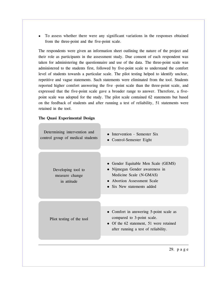To assess whether there were any significant variations in the responses obtained from the three-point and the five-point scale.

The respondents were given an information sheet outlining the nature of the project and their role as participants in the assessment study. Due consent of each respondent was taken for administering the questionnaire and use of the data. The three-point scale was administered to the students first, followed by five-point scale to understand the comfort level of students towards a particular scale. The pilot testing helped to identify unclear, repetitive and vague statements. Such statements were eliminated from the tool. Students reported higher comfort answering the five -point scale than the three-point scale, and expressed that the five-point scale gave a broader range to answer. Therefore, a fivepoint scale was adopted for the study. The pilot scale contained 62 statements but based on the feedback of students and after running a test of reliability, 51 statements were retained in the tool.

#### **The Quasi Experimental Design**

| Determining intervention and<br>control group of medical students | • Intervention - Semester Six<br>• Control-Semester Eight                                                                                                     |
|-------------------------------------------------------------------|---------------------------------------------------------------------------------------------------------------------------------------------------------------|
| Developing tool to<br>measure change<br>in attitude               | • Gender Equitable Men Scale (GEMS)<br>• Nijmegan Gender awareness in<br>Medicine Scale (N-GMAS)<br>• Abortion Assessment Scale<br>• Six New statements added |
| Pliot testing of the tool                                         | • Comfort in answering 5-point scale as<br>compared to 3-point scale.<br>• Of the 62 statement, 51 were retained<br>after running a test of reliability.      |
|                                                                   | 29. page                                                                                                                                                      |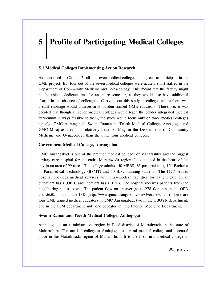# **5 Profile of Participating Medical Colleges**

## **5.1 Medical Colleges Implementing Action Research**

As mentioned in Chapter 2, all the seven medical colleges had agreed to participate in the GME project. But four out of the seven medical colleges were acutely short staffed in the Department of Community Medicine and Gynaecology. This meant that the faculty might not be able to dedicate time for an entire semester, as they would also have additional charge in the absence of colleagues. Carrying out this study in colleges where there was a staff shortage would unnecessarily burden trained GME educators. Therefore, it was decided that though all seven medical colleges would teach the gender integrated medical curriculum in ways feasible to them, the study would focus only on three medical colleges namely, GMC Aurangabad, Swami Ramanand Teerth Medical College, Ambejogai and GMC Miraj as they had relatively better staffing in the Departments of Community Medicine and Gynaecology than the other four medical colleges.

## **Government Medical College, Aurangabad**

GMC Aurangabad is one of the premier medical colleges of Maharashtra and the biggest tertiary care hospital for the entire Marathwada region. It is situated in the heart of the city in an area of 99 acres. The college admits 150 MBBS, 85 postgraduates, 120 Bachelor of Paramedical Technology (BPMT) and 50 B.Sc. nursing students. The 1177 bedded hospital provides medical services with ultra-modern facilities for patient care on an outpatient basis (OPD) and inpatient basis (IPD). The hospital receives patients from the neighboring states as well.The patient flow on an average as 27810/month in the OPD and 5650/month in the IPD (http://www.gmcaurangabad.com/Overview.html) There are four GME trained medical educators in GMC Aurangabad, two in the OBGYN department, one in the PSM department and one educator in the Internal Medicine Department.

## **Swami Ramanand Teerth Medical College, Ambejogai**

Ambejogai is an administrative region in Beed district of Marathwada in the state of Maharashtra. The medical college at Ambejogai is a rural medical college and a central place in the Marathwada region of Maharashtra. It is the first rural medical college in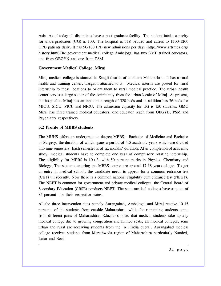Asia. As of today all disciplines have a post graduate facility. The student intake capacity for undergraduates (UG) is 100. The hospital is 518 bedded and caters to 1100-1200 OPD patients daily. It has 90-100 IPD new admissions per day. (http://www.srtrmca.org/ history.html)The government medical college Ambejogai has two GME trained educators, one from OBGYN and one from PSM.

#### **Government Medical College, Miraj**

Miraj medical college is situated in Sangli district of southern Maharashtra. It has a rural health and training center, Tasgaon attached to it. Medical interns are posted for rural internship to these locations to orient them to rural medical practice. The urban health center serves a large sector of the community from the urban locale of Miraj. At present, the hospital at Miraj has an inpatient strength of 320 beds and in addition has 76 beds for MICU, SICU, PICU and NICU. The admission capacity for UG is 150 students. GMC Miraj has three trained medical educators, one educator reach from OBGYB, PSM and Psychiatry respectively.

## **5.2 Profile of MBBS students**

The MUHS offers an undergraduate degree MBBS - Bachelor of Medicine and Bachelor of Surgery, the duration of which spans a period of 4.5 academic years which are divided into nine semesters. Each semester is of six months' duration. After completion of academic study, medical students have to complete one year of compulsory rotating internship. The eligibility for MBBS is  $10+2$ , with 50 percent marks in Physics, Chemistry and Biology. The students entering the MBBS course are around 17-18 years of age. To get an entry in medical school, the candidate needs to appear for a common entrance test (CET) till recently. Now there is a common national eligibility cum entrance test (NEET). The NEET is common for government and private medical colleges; the Central Board of Secondary Education (CBSE) conducts NEET. The state medical colleges have a quota of 85 percent for their respective states.

All the three intervention sites namely Aurangabad, Ambejogai and Miraj receive 10-15 percent of the students from outside Maharashtra, while the remaining students come from different parts of Maharashtra. Educators noted that medical students take up any medical college due to growing competition and limited seats; all medical colleges, semi urban and rural are receiving students from the 'All India quota'. Aurangabad medical college receives students from Marathwada region of Maharashtra particularly Nanded, Latur and Beed.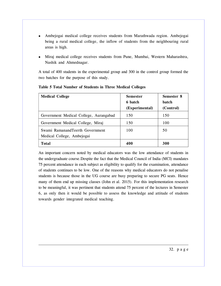- Ambejogai medical college receives students from Marathwada region. Ambejogai being a rural medical college, the inflow of students from the neighbouring rural areas is high.
- Miraj medical college receives students from Pune, Mumbai, Western Maharashtra, Nashik and Ahmednagar.

A total of 400 students in the experimental group and 300 in the control group formed the two batches for the purpose of this study.

| <b>Medical College</b>                                        | <b>Semester</b><br>6 batch<br>(Experimental) | Semester 8<br><b>batch</b><br>(Control) |
|---------------------------------------------------------------|----------------------------------------------|-----------------------------------------|
| Government Medical College, Aurangabad                        | 150                                          | 150                                     |
| Government Medical College, Miraj                             | 150                                          | 100                                     |
| Swami RamanandTeerth Government<br>Medical College, Ambejogai | 100                                          | 50                                      |
| <b>Total</b>                                                  | 400                                          | 300                                     |

## **Table 5 Total Number of Students in Three Medical Colleges**

An important concern noted by medical educators was the low attendance of students in the undergraduate course.Despite the fact that the Medical Council of India (MCI) mandates 75 percent attendance in each subject as eligibility to qualify for the examination, attendance of students continues to be low. One of the reasons why medical educators do not penalise students is because those in the UG course are busy preparing to secure PG seats. Hence many of them end up missing classes (John et al. 2015). For this implementation research to be meaningful, it was pertinent that students attend 75 percent of the lectures in Semester 6, as only then it would be possible to assess the knowledge and attitude of students towards gender integrated medical teaching.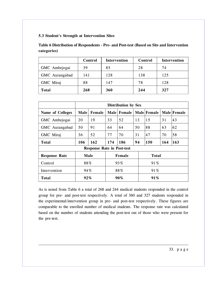## **5.3 Student's Strength at Intervention Sites**

**Table 6 Distribution of Respondents - Pre- and Post-test (Based on Site and Intervention categories)**

|                | Control | <b>Intervention</b> | Control | <b>Intervention</b> |
|----------------|---------|---------------------|---------|---------------------|
| GMC Ambejogai  | 39      | 85                  | 28      | 74                  |
| GMC Aurangabad | 141     | 128                 | 138     | 125                 |
| GMC Miraj      | 88      | 147                 | 78      | 128                 |
| <b>Total</b>   | 268     | 360                 | 244     | 327                 |

|                                     | <b>Distribution by Sex</b> |        |        |             |    |               |     |             |
|-------------------------------------|----------------------------|--------|--------|-------------|----|---------------|-----|-------------|
| <b>Name of Colleges</b>             | Male                       | Female |        | Male Female |    | Male   Female |     | Male Female |
| GMC Ambejogai                       | 20                         | 19     | 33     | 52          | 13 | 15            | 31  | 43          |
| GMC Aurangabad                      | 50                         | 91     | 64     | 64          | 50 | 88            | 63  | 62          |
| GMC Miraj                           | 36                         | 52     | 77     | 70          | 31 | 47            | 70  | 58          |
| Total                               | 106                        | 162    | 174    | 186         | 94 | <b>150</b>    | 164 | 163         |
| <b>Response Rate in Post-test</b>   |                            |        |        |             |    |               |     |             |
| <b>Male</b><br><b>Response Rate</b> |                            |        |        | Female      |    | <b>Total</b>  |     |             |
| Control                             | 88%                        |        |        | 93%         |    | 91%           |     |             |
| Intervention                        | 94%                        |        | 88%    |             |    | 91%           |     |             |
| Total                               | $92\%$                     |        | $90\%$ |             |    | 91%           |     |             |

As is noted from Table 6 a total of 268 and 244 medical students responded in the control group for pre- and post-test respectively. A total of 360 and 327 students responded in the experimental/intervention group in pre- and post-test respectively. These figures are comparable to the enrolled number of medical students. The response rate was calculated based on the number of students attending the post-test out of those who were present for the pre-test.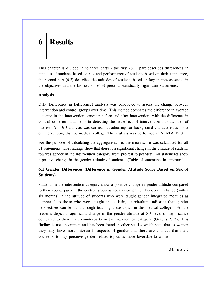# **6 Results**

This chapter is divided in to three parts - the first (6.1) part describes differences in attitudes of students based on sex and performance of students based on their attendance, the second part (6.2) describes the attitudes of students based on key themes as stated in the objectives and the last section (6.3) presents statistically significant statements.

#### **Analysis**

DiD (Difference in Difference) analysis was conducted to assess the change between intervention and control groups over time. This method compares the difference in average outcome in the intervention semester before and after intervention, with the difference in control semester, and helps in detecting the net effect of intervention on outcomes of interest. All DiD analysis was carried out adjusting for background characteristics - site of intervention, that is, medical college. The analysis was performed in STATA 12.0.

For the purpose of calculating the aggregate score, the mean score was calculated for all 51 statements. The findings show that there is a significant change in the attitude of students towards gender in the intervention category from pre-test to post-test. All statements show a positive change in the gender attitude of students. (Table of statements in annexure).

## **6.1 Gender Differences (Difference in Gender Attitude Score Based on Sex of Students)**

Students in the intervention category show a positive change in gender attitude compared to their counterparts in the control group as seen in Graph 1. This overall change (within six months) in the attitude of students who were taught gender integrated modules as compared to those who were taught the existing curriculum indicates that gender perspectives can be built through teaching these topics in the medical colleges. Female students depict a significant change in the gender attitude at 5% level of significance compared to their male counterparts in the intervention category (Graphs 2, 3). This finding is not uncommon and has been found in other studies which state that as women they may have more interest in aspects of gender and there are chances that male counterparts may perceive gender related topics as more favorable to women.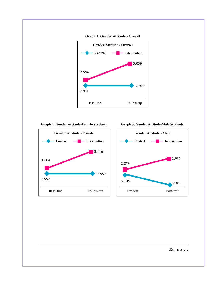

**Graph 2: Gender Attitude-Female Students**



**Graph 3: Gender Attitude-Male Students**



35. p a g e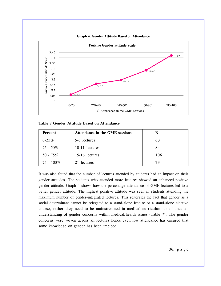

**Graph 4: Gender Attitude Based on Attendance**

|  |  |  | Table 7 Gender Attitude Based on Attendance |
|--|--|--|---------------------------------------------|
|--|--|--|---------------------------------------------|

| Percent      | <b>Attendance in the GME sessions</b> | N   |
|--------------|---------------------------------------|-----|
| $0-25%$      | 5-6 lectures                          | 63  |
| $25 - 50\%$  | 10-11 lectures                        | 84  |
| $50 - 75\%$  | 15-16 lectures                        | 106 |
| $75 - 100\%$ | 21 lectures                           | 73  |

It was also found that the number of lectures attended by students had an impact on their gender attitudes. The students who attended more lectures showed an enhanced positive gender attitude. Graph 4 shows how the percentage attendance of GME lectures led to a better gender attitude. The highest positive attitude was seen in students attending the maximum number of gender-integrated lectures. This reiterates the fact that gender as a social determinant cannot be relegated to a stand-alone lecture or a stand-alone elective course, rather they need to be mainstreamed in medical curriculum to enhance an understanding of gender concerns within medical/health issues (Table 7). The gender concerns were woven across all lectures hence even low attendance has ensured that some knowledge on gender has been imbibed.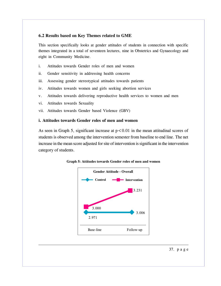## **6.2 Results based on Key Themes related to GME**

This section specifically looks at gender attitudes of students in connection with specific themes integrated in a total of seventeen lectures, nine in Obstetrics and Gynaecology and eight in Community Medicine.

- i. Attitudes towards Gender roles of men and women
- ii. Gender sensitivity in addressing health concerns
- iii. Assessing gender stereotypical attitudes towards patients
- iv. Attitudes towards women and girls seeking abortion services
- v. Attitudes towards delivering reproductive health services to women and men
- vi. Attitudes towards Sexuality
- vii. Attitudes towards Gender based Violence (GBV)

#### **i. Attitudes towards Gender roles of men and women**

As seen in Graph 5, significant increase at  $p < 0.01$  in the mean attitudinal scores of students is observed among the intervention semester from baseline to end line. The net increase in the mean score adjusted for site of intervention is significant in the intervention category of students.



**Graph 5: Attitudes towards Gender roles of men and women**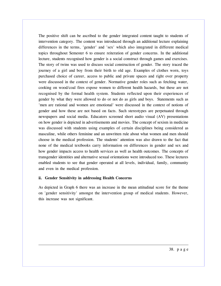The positive shift can be ascribed to the gender integrated content taught to students of intervention category. The content was introduced through an additional lecture explaining differences in the terms, 'gender' and 'sex' which also integrated in different medical topics throughout Semester 6 to ensure reiteration of gender concerns. In the additional lecture, students recognised how gender is a social construct through games and exercises. The story of twins was used to discuss social construction of gender. The story traced the journey of a girl and boy from their birth to old age. Examples of clothes worn, toys purchased choice of career, access to public and private spaces and right over property were discussed in the context of gender. Normative gender roles such as fetching water, cooking on wood/coal fires expose women to different health hazards, but these are not recognised by the formal health system. Students reflected upon their experiences of gender by what they were allowed to do or not do as girls and boys. Statements such as 'men are rational and women are emotional' were discussed in the context of notions of gender and how these are not based on facts. Such stereotypes are perpetuated through newspapers and social media. Educators screened short audio visual (AV) presentations on how gender is depicted in advertisements and movies. The concept of sexism in medicine was discussed with students using examples of certain disciplines being considered as masculine, while others feminine and an unwritten rule about what women and men should choose in the medical profession. The students' attention was also drawn to the fact that none of the medical textbooks carry information on differences in gender and sex and how gender impacts access to health services as well as health outcomes. The concepts of transgender identities and alternative sexual orientations were introduced too. These lectures enabled students to see that gender operated at all levels, individual, family, community and even in the medical profession.

#### **ii. Gender Sensitivity in addressing Health Concerns**

As depicted in Graph 6 there was an increase in the mean attitudinal score for the theme on 'gender sensitivity' amongst the intervention group of medical students. However, this increase was not significant.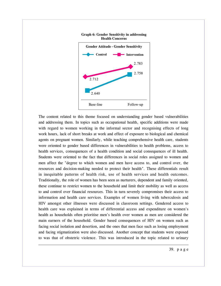

## The content related to this theme focused on understanding gender based vulnerabilities and addressing them. In topics such as occupational health, specific additions were made with regard to women working in the informal sector and recognising effects of long work hours, lack of short breaks at work and effect of exposure to biological and chemical agents on pregnant women. Similarly, while teaching comprehensive health care, students were oriented to gender based differences in vulnerabilities to health problems, access to health services, consequences of a health condition and social consequences of ill health. Students were oriented to the fact that differences in social roles assigned to women and men affect the "degree to which women and men have access to, and control over, the resources and decision-making needed to protect their health". These differentials result in inequitable patterns of health risk, use of health services and health outcomes. Traditionally, the role of women has been seen as nurturers, dependent and family oriented, these continue to restrict women to the household and limit their mobility as well as access to and control over financial resources. This in turn severely compromises their access to information and health care services. Examples of women living with tuberculosis and HIV amongst other illnesses were discussed in classroom settings. Gendered access to health care was explained in terms of differential access and expenditure on women's health as households often prioritise men's health over women as men are considered the main earners of the household. Gender based consequences of HIV on women such as facing social isolation and desertion, and the ones that men face such as losing employment and facing stigmatization were also discussed. Another concept that students were exposed to was that of obstetric violence. This was introduced in the topic related to urinary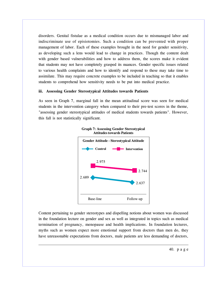disorders. Genital fistulae as a medical condition occurs due to mismanaged labor and indiscriminate use of episiotomies. Such a condition can be prevented with proper management of labor. Each of these examples brought in the need for gender sensitivity, as developing such a lens would lead to change in practices. Though the content dealt with gender based vulnerabilities and how to address them, the scores make it evident that students may not have completely grasped its nuances. Gender specific issues related to various health complaints and how to identify and respond to these may take time to assimilate. This may require concrete examples to be included in teaching so that it enables students to comprehend how sensitivity needs to be put into medical practice.

#### **iii. Assessing Gender Stereotypical Attitudes towards Patients**

As seen in Graph 7, marginal fall in the mean attitudinal score was seen for medical students in the intervention category when compared to their pre-test scores in the theme, "assessing gender stereotypical attitudes of medical students towards patients". However, this fall is not statistically significant.





Content pertaining to gender stereotypes and dispelling notions about women was discussed in the foundation lecture on gender and sex as well as integrated in topics such as medical termination of pregnancy, menopause and health implications. In foundation lectures, myths such as women expect more emotional support from doctors than men do, they have unreasonable expectations from doctors, male patients are less demanding of doctors,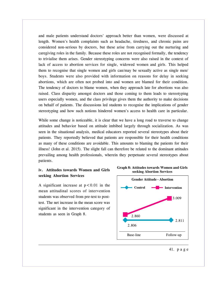and male patients understand doctors' approach better than women, were discussed at length. Women's health complaints such as headache, tiredness, and chronic pains are considered non-serious by doctors, but these arise from carrying out the nurturing and caregiving roles in the family. Because these roles are not recognised formally, the tendency to trivialise them arises. Gender stereotyping concerns were also raised in the context of lack of access to abortion services for single, widowed women and girls. This helped them to recognise that single women and girls can/may be sexually active as single men/ boys. Students were also provided with information on reasons for delay in seeking abortions, which are often not probed into and women are blamed for their condition. The tendency of doctors to blame women, when they approach late for abortions was also raised. Class disparity amongst doctors and those coming to them leads to stereotyping users especially women, and the class privilege gives them the authority to make decisions on behalf of patients. The discussions led students to recognise the implications of gender stereotyping and how such notions hindered women's access to health care in particular.

While some change is noticeable, it is clear that we have a long road to traverse to change attitudes and behavior based on attitude imbibed largely through socialization. As was seen in the situational analysis, medical educators reported several stereotypes about their patients. They reportedly believed that patients are responsible for their health conditions as many of these conditions are avoidable. This amounts to blaming the patients for their illness! (John et al. 2015). The slight fall can therefore be related to the dominant attitudes prevailing among health professionals, wherein they perpetuate several stereotypes about patients.

## **iv. Attitudes towards Women and Girls seeking Abortion Services**

A significant increase at  $p < 0.01$  in the mean attitudinal scores of intervention students was observed from pre-test to posttest. The net increase in the mean score was significant in the intervention category of students as seen in Graph 8.



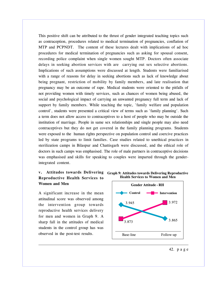This positive shift can be attributed to the thrust of gender integrated teaching topics such as contraception, procedures related to medical termination of pregnancies, conflation of MTP and PCPNDT. The content of these lectures dealt with implications of ad hoc procedures for medical termination of pregnancies such as asking for spousal consent, recording police complaint when single women sought MTP. Doctors often associate delays in seeking abortion services with are carrying out sex selective abortions. Implications of such assumptions were discussed at length. Students were familiarised with a range of reasons for delay in seeking abortions such as lack of knowledge about being pregnant, restriction of mobility by family members, and late realisation that pregnancy may be an outcome of rape. Medical students were oriented to the pitfalls of not providing women with timely services, such as chances of women being abused, the social and psychological impact of carrying an unwanted pregnancy full term and lack of support by family members. While teaching the topic, 'family welfare and population control', students were presented a critical view of terms such as 'family planning'. Such a term does not allow access to contraceptives to a host of people who may be outside the institution of marriage. People in same sex relationships and single people may also need contraceptives but they do not get covered in the family planning programs. Students were exposed to the human rights perspective on population control and coercive practices led by state programs to limit families. Case studies related to unethical practices in sterilization camps in Bilaspur and Chattisgarh were discussed, and the ethical role of doctors in such camps was emphasised. The role of male partners in contraceptive decisions was emphasised and skills for speaking to couples were imparted through the genderintegrated content.

## **Reproductive Health Services to Women and Men**

A significant increase in the mean attitudinal score was observed among the intervention group towards reproductive health services delivery for men and women in Graph 9. A sharp fall in the attitudes of medical students in the control group has was observed in the post-test results.



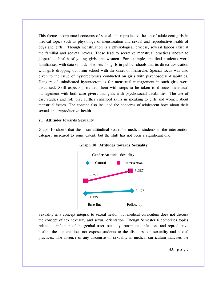This theme incorporated concerns of sexual and reproductive health of adolescent girls in medical topics such as physiology of menstruation and sexual and reproductive health of boys and girls. Though menstruation is a physiological process, several taboos exist at the familial and societal levels. These lead to secretive menstrual practices known to jeopardise health of young girls and women. For example, medical students were familiarised with data on lack of toilets for girls in public schools and its direct association with girls dropping out from school with the onset of menarche. Special focus was also given to the issue of hysterectomies conducted on girls with psychosocial disabilities. Dangers of unindicated hysterectomies for menstrual management in such girls were discussed. Skill aspects provided them with steps to be taken to discuss menstrual management with both care givers and girls with psychosocial disabilities. The use of case studies and role play further enhanced skills in speaking to girls and women about menstrual issues. The content also included the concerns of adolescent boys about their sexual and reproductive health.

#### **vi. Attitudes towards Sexuality**

Graph 10 shows that the mean attitudinal score for medical students in the intervention category increased to some extent, but the shift has not been a significant one.





Sexuality is a concept integral to sexual health, but medical curriculum does not discuss the concept of sex sexuality and sexual orientation. Though Semester 6 comprises topics related to infection of the genital tract, sexually transmitted infections and reproductive health, the content does not expose students to the discourse on sexuality and sexual practices. The absence of any discourse on sexuality in medical curriculum indicates the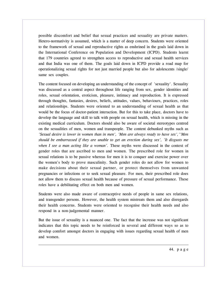possible discomfort and belief that sexual practices and sexuality are private matters. Hetero-normativity is assumed, which is a matter of deep concern. Students were oriented to the framework of sexual and reproductive rights as enshrined in the goals laid down in the International Conference on Population and Development (ICPD). Students learnt that 179 countries agreed to strengthen access to reproductive and sexual health services and that India was one of them. The goals laid down in ICPD provide a road map for operationalizing sexual rights for not just married people but also for adolescents /single/ same sex couples.

The content focused on developing an understanding of the concept of 'sexuality'. Sexuality was discussed as a central aspect throughout life ranging from sex, gender identities and roles, sexual orientation, eroticism, pleasure, intimacy and reproduction. It is expressed through thoughts, fantasies, desires, beliefs, attitudes, values, behaviours, practices, roles and relationships. Students were oriented to an understanding of sexual health as that would be the focus of doctor-patient interaction. But for this to take place, doctors have to develop the language and skill to talk with people on sexual health, which is missing in the existing medical curriculum. Doctors should also be aware of societal stereotypes centred on the sexualities of men, women and transpeople. The content debunked myths such as *'Sexual desire is lower in women than in men', 'Men are always ready to have sex',''Men should be embarrassed if they are unable to get an erection during sex', 'It disgusts me when I see a man acting like a woman'.* These myths were discussed in the context of gender roles that are ascribed to men and women. The prescribed role for women in sexual relations is to be passive whereas for men it is to conquer and exercise power over the women's body to prove masculinity. Such gender roles do not allow for women to make decisions about their sexual partner, or protect themselves from unwanted pregnancies or infections or to seek sexual pleasure. For men, their prescribed role does not allow them to discuss sexual health because of pressure of sexual performance. These roles have a debilitating effect on both men and women.

Students were also made aware of contraceptive needs of people in same sex relations, and transgender persons. However, the health system mistreats them and also disregards their health concerns. Students were oriented to recognise their health needs and also respond in a non-judgemental manner.

But the issue of sexuality is a nuanced one. The fact that the increase was not significant indicates that this topic needs to be reinforced in several and different ways so as to develop comfort amongst doctors in engaging with issues regarding sexual health of men and women.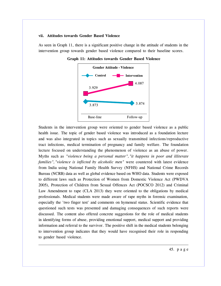#### **vii. Attitudes towards Gender Based Violence**

As seen in Graph 11, there is a significant positive change in the attitude of students in the intervention group towards gender based violence compared to their baseline scores.



**Graph 11: Attitudes towards Gender Based Violence**

Students in the intervention group were oriented to gender based violence as a public health issue. The topic of gender based violence was introduced as a foundation lecture and was also integrated in topics such as sexually transmitted infections/reproductive tract infections, medical termination of pregnancy and family welfare. The foundation lecture focused on understanding the phenomenon of violence as an abuse of power. Myths such as *"violence being a personal matter","it happens in poor and illiterate families","violence is inflicted by alcoholic men"* were countered with latest evidence from India using National Family Health Survey (NFHS) and National Crime Records Bureau (NCRB) data as well as global evidence based on WHO data. Students were exposed to different laws such as Protection of Women from Domestic Violence Act (PWDVA 2005), Protection of Children from Sexual Offences Act (POCSCO 2012) and Criminal Law Amendment to rape (CLA 2013) they were oriented to the obligations by medical professionals. Medical students were made aware of rape myths in forensic examination, especially the 'two finger test' and comments on hymeneal status. Scientific evidence that questioned such tests was presented and damaging consequences of such reports were discussed. The content also offered concrete suggestions for the role of medical students in identifying forms of abuse, providing emotional support, medical support and providing information and referral to the survivor. The positive shift in the medical students belonging to intervention group indicates that they would have recognised their role in responding to gender based violence.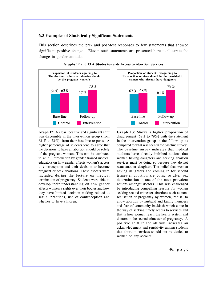#### **6.3 Examples of Statistically Significant Statements**

This section describes the pre- and post-test responses to few statements that showed significant positive change. Eleven such statements are presented here to illustrate the change in gender attitude.



**Graph 12:** A clear, positive and significant shift was discernible in the intervention group (from 63 % to 73%), from their base line response. A higher percentage of students tend to agree that the decision to have an abortion should be solely of the pregnant woman. This can be attributed to skilful introduction by gender trained medical educators on how gender affects women's access to contraception and their decision to become pregnant or seek abortions. These aspects were included during the lecture on medical termination of pregnancy. Students were able to develop their understanding on how gender affects women's rights over their bodies and how they have limited decision making related to sexual practices, use of contraception and whether to have children.



**Graph 13:** Shows a higher proportion of disagreement (68% to 79%) with the statement in the intervention group in the follow up as compared to what was seen in the baseline survey. The baseline survey indicates that medical students have already imbibed notions that women having daughters and seeking abortion services must be doing so because they do not want another daughter. The belief that women having daughters and coming in for second trimester abortion are doing so after sex determination is one of the most prevalent notions amongst doctors. This was challenged by introducing compelling reasons for women seeking second trimester abortions such as nonrealisation of pregnancy by women, refusal to allow abortion by husband and family members and fear of community backlash which come in the way of seeking timely access to services and that is how women reach the health system and doctors in the second trimester of pregnancy. A positive shift in the attitude indicates an acknowledgment and sensitivity among students that abortion services should not be denied to women on any account.

#### **Graphs 12 and 13 Attitudes towards Access to Abortion Services**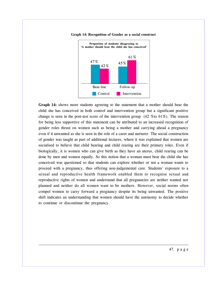

**Graph 14: Recognition of Gender as a social construct**

**Graph 14:** shows more students agreeing to the statement that a mother should bear the child she has conceived in both control and intervention group but a significant positive change is seen in the post-test score of the intervention group  $(42, 61\%)$ . The reason for being less supportive of this statement can be attributed to an increased recognition of gender roles thrust on women such as being a mother and carrying ahead a pregnancy even if it unwanted as she is seen in the role of a carer and nurturer. The social construction of gender was taught as part of additional lectures, where it was explained that women are socialised to believe that child bearing and child rearing are their primary roles. Even if biologically, it is women who can give birth as they have an uterus, child rearing can be done by men and women equally. So this notion that a woman must bear the child she has conceived was questioned so that students can explore whether or not a woman wants to proceed with a pregnancy, thus offering non-judgemental care. Students' exposure to a sexual and reproductive health framework enabled them to recognise sexual and reproductive rights of women and understand that all pregnancies are neither wanted nor planned and neither do all women want to be mothers. However, social norms often compel women to carry forward a pregnancy despite its being unwanted. The positive shift indicates an understanding that women should have the autonomy to decide whether to continue or discontinue the pregnancy.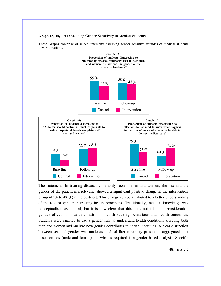#### **Graph 15, 16, 17: Developing Gender Sensitivity in Medical Students**



These Graphs comprise of select statements assessing gender sensitive attitudes of medical students towards patients.

The statement 'In treating diseases commonly seen in men and women, the sex and the gender of the patient is irrelevant' showed a significant positive change in the intervention group (45% to 48 %)in the post-test. This change can be attributed to a better understanding of the role of gender in treating health conditions. Traditionally, medical knowledge was conceptualised as neutral, but it is now clear that this does not take into consideration gender effects on health conditions, health seeking behaviour and health outcomes. Students were enabled to use a gender lens to understand health conditions affecting both men and women and analyse how gender contributes to health inequities. A clear distinction between sex and gender was made as medical literature may present disaggregated data based on sex (male and female) but what is required is a gender based analysis. Specific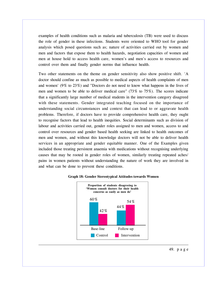examples of health conditions such as malaria and tuberculosis (TB) were used to discuss the role of gender in these infections. Students were oriented to WHO tool for gender analysis which posed questions such as; nature of activities carried out by women and men and factors that expose them to health hazards, negotiation capacities of women and men at house hold to access health care, women's and men's access to resources and control over them and finally gender norms that influence health.

Two other statements on the theme on gender sensitivity also show positive shift. 'A doctor should confine as much as possible to medical aspects of health complaints of men and women' (9% to 23%) and "Doctors do not need to know what happens in the lives of men and women to be able to deliver medical care" (73% to 75%). The scores indicate that a significantly large number of medical students in the intervention category disagreed with these statements. Gender integrated teaching focused on the importance of understanding social circumstances and context that can lead to or aggravate health problems. Therefore, if doctors have to provide comprehensive health care, they ought to recognise factors that lead to health inequities. Social determinants such as division of labour and activities carried out, gender roles assigned to men and women, access to and control over resources and gender based health seeking are linked to health outcomes of men and women, and without this knowledge doctors will not be able to deliver health services in an appropriate and gender equitable manner. One of the Examples given included those treating persistent anaemia with medications without recognising underlying causes that may be rooted in gender roles of women, similarly treating repeated aches/ pains in women patients without understanding the nature of work they are involved in and what can be done to prevent these conditions.



#### **Graph 18: Gender Stereotypical Attitudes towards Women**

49. p a g e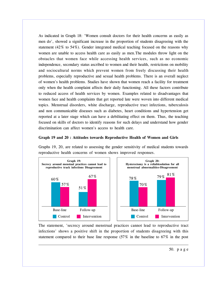As indicated in Graph 18: 'Women consult doctors for their health concerns as easily as men do', showed a significant increase in the proportion of students disagreeing with the statement (42% to 54%). Gender integrated medical teaching focused on the reasons why women are unable to access health care as easily as men.The modules throw light on the obstacles that women face while accessing health services, such as no economic independence, secondary status ascribed to women and their health, restrictions on mobility and sociocultural norms which prevent women from freely discussing their health problems, especially reproductive and sexual health problems. There is an overall neglect of women's health problems. Studies have shown that women reach a facility for treatment only when the health complaint affects their daily functioning. All these factors contribute to reduced access of health services by women. Examples related to disadvantages that women face and health complaints that get reported late were woven into different medical topics. Menstrual disorders, white discharge, reproductive tract infections, tuberculosis and non communicable diseases such as diabetes, heart conditions and hypertension get reported at a later stage which can have a debilitating effect on them. Thus, the teaching focused on skills of doctors to identify reasons for such delays and understand how gender discrimination can affect women's access to health care.

#### **Graph 19 and 20 : Attitudes towards Reproductive Health of Women and Girls**

Graphs 19, 20, are related to assessing the gender sensitivity of medical students towards reproductive health concerns of women shows improved responses.



The statement, 'secrecy around menstrual practices cannot lead to reproductive tract infections' shows a positive shift in the proportion of students disagreeing with this statement compared to their base line response (57% in the baseline to 67% in the post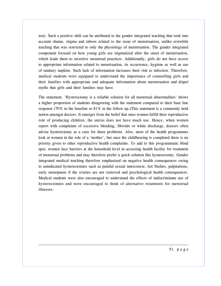test). Such a positive shift can be attributed to the gender integrated teaching that took into account shame, stigma and taboos related to the issue of menstruation, unlike erstwhile teaching that was restricted to only the physiology of menstruation. The gender integrated component focused on how young girls are stigmatized after the onset of menstruation, which leads them to secretive menstrual practices. Additionally, girls do not have access to appropriate information related to menstruation, its occurrence, hygiene as well as use of sanitary napkins. Such lack of information increases their risk to infection. Therefore, medical students were equipped to understand the importance of counselling girls and their families with appropriate and adequate information about menstruation and dispel myths that girls and their families may have.

The statement, 'Hysterectomy is a reliable solution for all menstrual abnormalities' shows a higher proportion of students disagreeing with the statement compared to their base line response (70% in the baseline to 81% in the follow up.)This statement is a commonly held notion amongst doctors. It emerges from the belief that once women fulfill their reproductive role of producing children, the uterus does not have much use. Hence, when women report with complaints of excessive bleeding, fibroids or white discharge, doctors often advise hysterectomy as a cure for these problems. Also, most of the health programmes look at women in the role of a 'mother', but once the childbearing is completed there is no priority given to other reproductive health complaints. To add to this programmatic blind spot, women face barriers at the household level in accessing health facility for treatment of menstrual problems and may therefore prefer a quick solution like hysterectomy. Gender integrated medical teaching therefore emphasized on negative health consequences owing to unindicated hysterectomies such as painful sexual intercourse, hot flushes, palpitations, early menopause if the ovaries are not removed and psychological health consequences. Medical students were also encouraged to understand the effects of indiscriminate use of hysterectomies and were encouraged to think of alternative treatments for menstrual illnesses.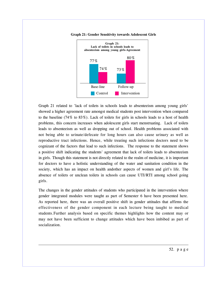



Graph 21 related to 'lack of toilets in schools leads to absenteeism among young girls' showed a higher agreement rate amongst medical students post intervention when compared to the baseline (74% to 83%). Lack of toilets for girls in schools leads to a host of health problems, this concern increases when adolescent girls start menstruating. Lack of toilets leads to absenteeism as well as dropping out of school. Health problems associated with not being able to urinate/defecate for long hours can also cause urinary as well as reproductive tract infections. Hence, while treating such infections doctors need to be cognizant of the factors that lead to such infections. The response to the statement shows a positive shift indicating the students' agreement that lack of toilets leads to absenteeism in girls. Though this statement is not directly related to the realm of medicine, it is important for doctors to have a holistic understanding of the water and sanitation condition in the society, which has an impact on health andother aspects of women and girl's life. The absence of toilets or unclean toilets in schools can cause UTI/RTI among school going girls.

The changes in the gender attitudes of students who participated in the intervention where gender integrated modules were taught as part of Semester 6 have been presented here. As reported here, there was an overall positive shift in gender attitudes that affirms the effectiveness of the gender component in each lecture being taught to medical students.Further analysis based on specific themes highlights how the content may or may not have been sufficient to change attitudes which have been imbibed as part of socialization.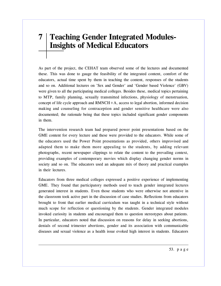## **7 Teaching Gender Integrated Modules-Insights of Medical Educators**

As part of the project, the CEHAT team observed some of the lectures and documented these. This was done to gauge the feasibility of the integrated content, comfort of the educators, actual time spent by them in teaching the content, responses of the students and so on. Additional lectures on 'Sex and Gender' and 'Gender based Violence' (GBV) were given to all the participating medical colleges. Besides these, medical topics pertaining to MTP, family planning, sexually transmitted infections, physiology of menstruation, concept of life cycle approach and  $RMNCH+A$ , access to legal abortion, informed decision making and counseling for contraception and gender sensitive healthcare were also documented; the rationale being that these topics included significant gender components in them.

The intervention research team had prepared power point presentations based on the GME content for every lecture and these were provided to the educators. While some of the educators used the Power Point presentations as provided, others improvised and adapted them to make them more appealing to the students, by adding relevant photographs, recent newspaper clippings to relate the content to the prevailing context, providing examples of contemporary movies which display changing gender norms in society and so on. The educators used an adequate mix of theory and practical examples in their lectures.

Educators from three medical colleges expressed a positive experience of implementing GME. They found that participatory methods used to teach gender integrated lectures generated interest in students. Even those students who were otherwise not attentive in the classroom took active part in the discussion of case studies. Reflections from educators brought to front that earlier medical curriculum was taught in a technical style without much scope for reflection or questioning by the students. Gender integrated modules invoked curiosity in students and encouraged them to question stereotypes about patients. In particular, educators noted that discussion on reasons for delay in seeking abortions, denials of second trimester abortions, gender and its association with communicable diseases and sexual violence as a health issue evoked high interest in students. Educators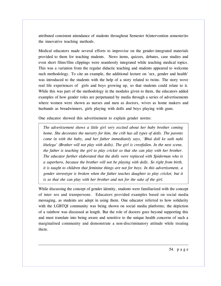attributed consistent attendance of students throughout Semester 6(intervention semester)to the innovative teaching methods.

Medical educators made several efforts to improvise on the gender-integrated materials provided to them for teaching students. News items, quizzes, debates, case studies and even short films/film clippings were seamlessly integrated while teaching medical topics. This was a variation from the regular didactic teaching and students appeared to welcome such methodology. To cite an example, the additional lecture on 'sex, gender and health' was introduced to the students with the help of a story related to twins. The story wove real life experiences of girls and boys growing up, so that students could relate to it. While this was part of the methodology in the modules given to them, the educators added examples of how gender roles are perpetuated by media through a series of advertisements where women were shown as nurses and men as doctors, wives as home makers and husbands as breadwinners, girls playing with dolls and boys playing with guns.

One educator showed this advertisement to explain gender norms:

*The advertisement shows a little girl very excited about her baby brother coming home. She decorates the nursery for him, the crib has all types of dolls. The parents come in with the baby, and her father immediately says, 'Bhai doll ke sath nahi khelega' (Brother will not play with dolls). The girl is crestfallen. In the next scene, the father is teaching the girl to play cricket so that she can play with her brother. The educator further elaborated that the dolls were replaced with Spiderman who is a superhero, because the brother will not be playing with dolls. So right from birth, it is taught to children that feminine things are not for boys. In this advertisement, a gender stereotype is broken when the father teaches daughter to play cricket, but it is so that she can play with her brother and not for the sake of the girl.*

While discussing the concept of gender identity, students were familiarized with the concept of inter sex and transpersons. Educators provided examples based on social media messaging, as students are adept in using them. One educator referred to how solidarity with the LGBTQI community was being shown on social media platforms; the depiction of a rainbow was discussed at length. But the role of doctors goes beyond supporting this and must translate into being aware and sensitive to the unique health concerns of such a marginalised community and demonstrate a non-discriminatory attitude while treating them.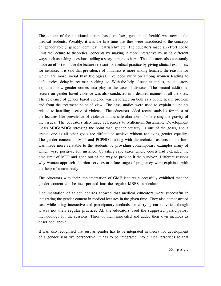The content of the additional lecture based on 'sex, gender and health' was new to the medical students. Possibly, it was the first time that they were introduced to the concepts of 'gender role', 'gender identities', 'patriarchy' etc. The educators made an effort not to limit the lecture to theoretical concepts by making it more interactive by using different ways such as asking questions, telling a story, among others. The educators also constantly made an effort to make the lecture relevant for medical practice by giving clinical examples; for instance, it is said that prevalence of blindness is more among females; the reasons for which are more social than biological, like poor nutrition among women leading to deficiencies, delay in treatment seeking etc. With the help of such examples, the educators explained how gender comes into play in the case of diseases. The second additional lecture on gender based violence was also conducted in a detailed manner at all the sites. The relevance of gender based violence was elaborated on both as a public health problem and from the treatment point of view. The case studies were used to explain all points related to handling a case of violence. The educators added recent statistics for most of the lectures like prevalence of violence and unsafe abortions, for stressing the gravity of the issues. The educators also made references to Millenium/Sustainable Development Goals MDGs/SDGs stressing the point that 'gender equality' is one of the goals, and a crucial one as all other goals are difficult to achieve without achieving gender equality. The gender content on MTP and PCPNDT, along with the technical aspects of the laws was made more relatable to the students by providing contemporary examples many of which were positive, for instance, by citing rape cases where courts had extended the time limit of MTP and gone out of the way to provide it the survivor. Different reasons why women approach abortion services at a late stage of pregnancy were explained with the help of a case study.

The educators with their implementation of GME lectures successfully exhibited that the gender content can be incorporated into the regular MBBS curriculum.

Documentation of select lectures showed that medical educators were successful in integrating the gender content in medical lectures in the given time. They also demonstrated ease while using interactive and participatory methods for carrying out activities, though it was not their regular practice. All the educators used the suggested participatory methodology for the sessions. Three of them innovated and added their own methods as described above.

It was also recognised that just as gender has to be integrated in theory for development of a gender sensitive perspective, it has to be integrated into clinical practices so that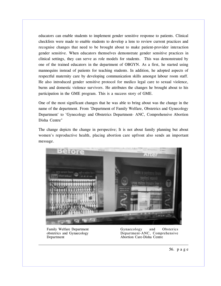educators can enable students to implement gender sensitive response to patients. Clinical checklists were made to enable students to develop a lens to review current practices and recognise changes that need to be brought about to make patient-provider interaction gender sensitive. When educators themselves demonstrate gender sensitive practices in clinical settings, they can serve as role models for students. This was demonstrated by one of the trained educators in the department of OBGYN. As a first, he started using mannequins instead of patients for teaching students. In addition, he adopted aspects of respectful maternity care by developing communication skills amongst labour room staff. He also introduced gender sensitive protocol for medico legal care to sexual violence, burns and domestic violence survivors. He attributes the changes he brought about to his participation in the GME program. This is a success story of GME.

One of the most significant changes that he was able to bring about was the change in the name of the department. From 'Department of Family Welfare, Obstetrics and Gynecology Department' to 'Gynecology and Obstetrics Department- ANC, Comprehensive Abortion Disha Centre"

The change depicts the change in perspective; It is not about family planning but about women's reproductive health, placing abortion care upfront also sends an important message.



Family Welfare Department obstetrics and Gynaecology Department

Gynaecology and Obsterics Department-ANC, Comprehensive Abortion Care-Disha Centre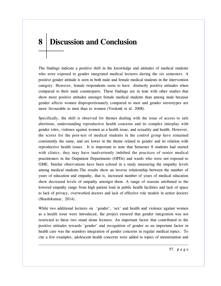# **8 Discussion and Conclusion**

The findings indicate a positive shift in the knowledge and attitudes of medical students who were exposed to gender integrated medical lectures during the six semesters. A positive gender attitude is seen in both male and female medical students in the intervention category. However, female respondents seem to have distinctly positive attitudes when compared to their male counterparts. These findings are in tune with other studies that show more positive attitudes amongst female medical students than among male because gender affects women disproportionately compared to men and gender stereotypes are more favourable to men than to women (Verdonk et al. 2008).

Specifically, the shift is observed for themes dealing with the issue of access to safe abortions, understanding reproductive health concerns and its complex interplay with gender roles, violence against women as a health issue, and sexuality and health. However, the scores for the post-test of medical students in the control group have remained consistently the same, and are lower in the theme related to gender and its relation with reproductive health issues. It is important to note that Semester 8 students had started with clinics; they may have inadvertently imbibed the practices of senior medical practitioners in the Outpatient Departments (OPDs) and wards who were not exposed to GME. Similar observations have been echoed in a study measuring the empathy levels among medical students.The results show an inverse relationship between the number of years of education and empathy, that is, increased number of years of medical education show decreased levels of empathy amongst them. A range of reasons attributed to the lowered empathy range from high patient load in public health facilities and lack of space to lack of privacy, overworked doctors and lack of effective role models in senior doctors (Shashikumar, 2014).

While two additional lectures on 'gender', 'sex' and health and violence against women as a health issue were introduced, the project ensured that gender integration was not restricted to these two stand alone lectures. An important factor that contributed to the positive attitudes towards 'gender' and recognition of gender as an important factor in health care was the seamless integration of gender concerns in regular medical topics. To cite a few examples, adolescent health concerns were added to topics of menstruation and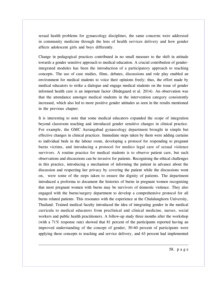sexual health problems for gynaecology disciplines, the same concerns were addressed in community medicine through the lens of health services delivery and how gender affects adolescent girls and boys differently.

Change in pedagogical practices contributed in no small measure to the shift in attitude towards a gender sensitive approach to medical education. A crucial contribution of genderintegrated modules has been the introduction of a participatory approach to teaching concepts. The use of case studies, films, debates, discussions and role play enabled an environment for medical students to voice their opinions freely; thus, the effort made by medical educators to strike a dialogue and engage medical students on the issue of gender informed health care is an important factor (Hedegaard et al. 2014). An observation was that the attendance amongst medical students in the intervention category consistently increased, which also led to more positive gender attitudes as seen in the results mentioned in the previous chapter.

It is interesting to note that some medical educators expanded the scope of integration beyond classroom teaching and introduced gender sensitive changes in clinical practice. For example, the GMC Aurangabad gynaecology department brought in simple but effective changes in clinical practices. Immediate steps taken by them were adding curtains to individual beds in the labour room, developing a protocol for responding to pregnant burns victims, and introducing a protocol for medico legal care of sexual violence survivors. A routine practice for medical students is to observe patient care, but such observations and discussions can be invasive for patients. Recognising the ethical challenges in this practice, introducing a mechanism of informing the patient in advance about the discussion and respecting her privacy by covering the patient while the discussions went on, were some of the steps taken to ensure the dignity of patients. The department introduced a proforma to document the histories of burns in pregnant women recognising that most pregnant women with burns may be survivors of domestic violence. They also engaged with the burns/surgery department to develop a comprehensive protocol for all burns related patients. This resonates with the experience at the Chulalungkorn University, Thailand. Trained medical faculty introduced the idea of integrating gender in the medical curricula to medical educators from preclinical and clinical medicine, nurses, social workers and public health practitioners. A follow-up study three months after the workshop (with a 71% response rate) showed that 81 percent of the participants reported having an improved understanding of the concept of gender, 50-60 percent of participants were applying these concepts to teaching and service delivery, and 63 percent had implemented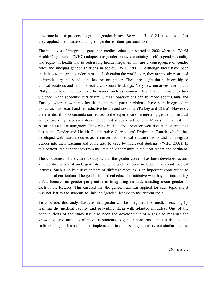new practices or projects integrating gender issues. Between 15 and 25 percent said that they applied their understanding of gender to their personal lives.

The initiatives of integrating gender in medical education started in 2002 when the World Health Organization (WHO) adopted the gender policy committing itself to gender equality and equity in health and to redressing health inequities that are a consequence of gender roles and unequal gender relations in society (WHO 2002). Although there have been initiatives to integrate gender in medical education the world over, they are mostly restricted to introductory and stand-alone lectures on gender. These are taught during internship or clinical rotations and not in specific classroom teachings. Very few initiatives like that in Philippines have included specific issues such as women's health and intimate partner violence in the academic curriculum. Similar observations can be made about China and Turkey, wherein women's health and intimate partner violence have been integrated in topics such as sexual and reproductive health and sexuality (Turkey and China). However, there is dearth of documentation related to the experience of integrating gender in medical education; only two such documented initiatives exist, one is Monash University in Australia and Chulalungkorn University in Thailand. Another well documented initiative has been 'Gender and Health Collaborative Curriculum' Project in Canada which has developed web-based modules as resources for medical educators who wish to integrate gender into their teaching and could also be used by interested students. (WHO 2002). In this context, the experiences from the state of Maharashtra is the most recent and pertinent.

The uniqueness of the current study is that the gender content has been developed across all five disciplines of undergraduate medicine and has been included in relevant medical lectures. Such a holistic development of different modules is an important contribution to the medical curriculum. The gender in medical education initiative went beyond introducing a few lectures on gender perspective to integrating an understanding about gender in each of the lectures. This ensured that the gender lens was applied for each topic and it was not left to the students to link the 'gender' lecture to the current topic.

To conclude, this study illustrates that gender can be integrated into medical teaching by training the medical faculty and providing them with adapted modules. One of the contributions of the study has also been the development of a scale to measure the knowledge and attitudes of medical students to gender concerns contextualised to the Indian setting. This tool can be implemented in other settings to carry out similar studies.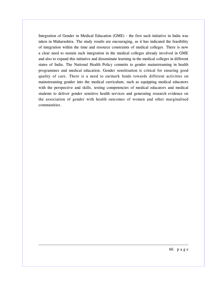Integration of Gender in Medical Education (GME) - the first such initiative in India was taken in Maharashtra. The study results are encouraging, as it has indicated the feasibility of integration within the time and resource constraints of medical colleges. There is now a clear need to sustain such integration in the medical colleges already involved in GME and also to expand this initiative and disseminate learning in the medical colleges in different states of India. The National Health Policy commits to gender mainstreaming in health programmes and medical education. Gender sensitisation is critical for ensuring good quality of care. There is a need to earmark funds towards different activities on mainstreaming gender into the medical curriculum, such as equipping medical educators with the perspective and skills, testing competencies of medical educators and medical students to deliver gender sensitive health services and generating research evidence on the association of gender with health outcomes of women and other marginalised communities.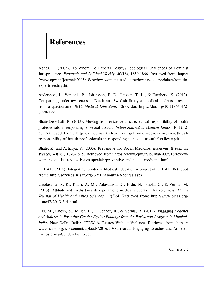## **References**

Agnes, F. (2005). To Whom Do Experts Testify? Ideological Challenges of Feminist Jurisprudence. *Economic and Political Weekly,* 40(18), 1859-1866. Retrieved from: https:/ /www.epw.in/journal/2005/18/review-womens-studies-review-issues-specials/whom-doexperts-testify.html

Andersson, J., Verdonk, P., Johansson, E. E., Janssen, T. L., & Hamberg, K. (2012). Comparing gender awareness in Dutch and Swedish first-year medical students - results from a questionaire. *BMC Medical Education,* 12(3). doi: https://doi.org/10.1186/1472- 6920-12-3

Bhate-Deosthali, P. (2013). Moving from evidence to care: ethical responsibility of health professionals in responding to sexual assault. *Indian Journal of Medical Ethics,* 10(1), 2- 5. Retrieved from: http://ijme.in/articles/moving-from-evidence-to-care-ethicalresponsibility-of-health-professionals-in-responding-to-sexual-assault/?galley=pdf

Bhate, K. and Acharya, S. (2005). Preventive and Social Medicine. *Economic & Political Weekly,* 40(18), 1870-1875. Retrieved from: https://www.epw.in/journal/2005/18/reviewwomens-studies-review-issues-specials/preventive-and-social-medicine.html

CEHAT. (2014). Integrating Gender in Medical Education A project of CEHAT. Retrieved from: http://services.iriskf.org/GME/Aboutus/Aboutus.aspx

Chudasama, R. K., Kadri, A. M., Zalavadiya, D., Joshi, N., Bhola, C., & Verma, M. (2013). Attitude and myths towards rape among medical students in Rajkot, India. *Online Journal of Health and Allied Sciences,* 12(3):4. Retrieved from: http://www.ojhas.org/ issue47/2013-3-4.html

Das, M., Ghosh, S., Miller, E., O'Conner, B., & Verma, R. (2012). *Engaging Coaches and Athletes in Fostering Gender Equity: Findings from the Parivartan Program in Mumbai, India.* New Delhi, India:, ICRW & Futures Without Violence. Retrieved from: https:// www.icrw.org/wp-content/uploads/2016/10/Parivartan-Engaging-Coaches-and-Athletesin-Fostering-Gender-Equity.pdf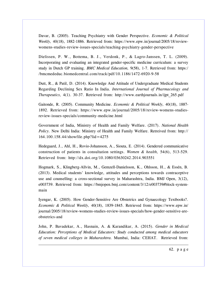Davar, B. (2005). Teaching Psychiatry with Gender Perspective. *Economic & Political Weekly,* 40(18), 1882-1886. Retrieved from: https://www.epw.in/journal/2005/18/reviewwomens-studies-review-issues-specials/teaching-psychiatry-gender-perspective

Dielissen, P. W., Bottema, B. J., Verdonk, P., & Lagro-Janssen, T. L. (2009). Incorporating and evaluating an integrated gender-specific medicine curriculum: a survey study in Dutch GP training. *BMC Medical Education,* 9(58), 1-7. Retrieved from: https:/ /bmcmededuc.biomedcentral.com/track/pdf/10.1186/1472-6920-9-58

Dutt, R., & Patil, D. (2014). Knowledge And Attitude of Undergraduate Medical Students Regarding Declining Sex Ratio In India. *International Journal of Pharmacology and Therapeutics,* 4(1). 30-37. Retrieved from: http://www.earthjournals.in/ijpt\_265.pdf

Gaitonde, R. (2005). Community Medicine. *Economic & Political Weekly,* 40(18), 1887- 1892. Retrieved from: https://www.epw.in/journal/2005/18/review-womens-studiesreview-issues-specials/community-medicine.html

Government of India, Ministry of Health and Family Welfare. (2017). *National Health Policy.* New Delhi India: Ministry of Health and Family Welfare. Retreived from: http:// 164.100.158.44/showfile.php?lid=4275

Hedegaard, J., Ahl, H., Rovio-Johansson, A., Siouta, E. (2014). Gendered communicative construction of patients in consultation settings. *Women & health,* 54(6), 513-529. Retrieved from: http://dx.doi.org/10.1080/03630242.2014.903551

Hogmark, S., Klingberg-Allvin, M., Gemzell-Danielsson, K., Ohlsson, H., & Essén, B. (2013). Medical students' knowledge, attitudes and perceptions towards contraceptive use and counselling: a cross-sectional survey in Maharashtra, India. BMJ Open, 3(12), e003739. Retrieved from: https://bmjopen.bmj.com/content/3/12/e003739#block-systemmain

Iyengar, K. (2005). How Gender-Sensitive Are Obstetrics and Gynaecology Textbooks?. *Economic & Political Weekly,* 40(18), 1839-1845. Retrieved from: https://www.epw.in/ journal/2005/18/review-womens-studies-review-issues-specials/how-gender-sensitive-areobstetrics-and

John, P. Bavadekar, A., Hasnain, A. & Karandikar, A. (2015). *Gender in Medical Education: Perceptions of Medical Educators: Study conducted among medical educators of seven medical colleges in Maharashtra.* Mumbai, India: CEHAT. Retrieved from: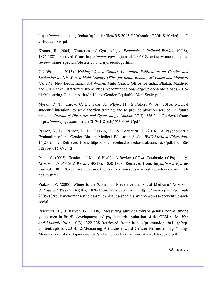http://www.cehat.org/cehat/uploads/files/R%2093%20Gender%20in%20Medical% 20Educations.pdf

Khanna, R. (2005). Obstetrics and Gynaecology. *Economic & Political Weekly,* 40(18), 1876-1881. Retrived from: https://www.epw.in/journal/2005/18/review-womens-studiesreview-issues-specials/obstetrics-and-gynaecology.html

UN Women. (2013). *Making Women Count: An Annual Publication on Gender and Evaluation by UN Women Multi Country Office for India, Bhutan, Sri Lanka and Maldives (1st.ed.).* New Delhi. India: UN Women Multi Centric Office for India, Bhutan, Maldives and Sri Lanka. Retrieved from: https://promundoglobal.org/wp-content/uploads/2015/ 01/Measuring-Gender-Attitude-Using-Gender-Equitable-Men-Scale.pdf

Myran, D. T., Carew, C. L., Tang, J., Whyte, H., & Fisher, W. A. (2015). Medical students' intentions to seek abortion training and to provide abortion services in future practice. *Journal of Obstetrics and Gynaecology Canada,* 37(3), 236-244. Retrieved from: https://www.jogc.com/article/S1701-2163(15)30309-1/pdf

Parker, R. B., Parker, P. D., Larkin, T., & Cockburn, J. (2016). A Psychometric Evaluation of the Gender Bias in Medical Education Scale. *BMC Medical Education,* 16(251), 1-9. Retrieved from: https://bmcmededuc.biomedcentral.com/track/pdf/10.1186/ s12909-016-0774-2

Patel, V. (2005). Gender and Mental Health: A Review of Two Textbooks of Psychiatry. *Economic & Political Weekly,* 40(18), 1850-1858. Retrieved from: https://www.epw.in/ journal/2005/18/review-womens-studies-review-issues-specials/gender-and-mentalhealth.html

Prakash, P. (2005). Where Is the Woman in Preventive and Social Medicine? *Economic & Political Weekly,* 40(18), 1828-1834. Retrieved from: https://www.epw.in/journal/ 2005/18/review-womens-studies-review-issues-specials/where-woman-preventive-andsocial

Pulerwitz, J., & Barker, G. (2008). Measuring attitudes toward gender norms among young men in Brazil: development and psychometric evaluation of the GEM scale. *Men and Masculinities,* 10(3), 322-338.Retrieved from: https://promundoglobal.org/wpcontent/uploads/2014/12/Measuring-Attitudes-toward-Gender-Norms-among-Young-Men-in-Brazil-Development-and-Psychometric-Evaluation-of-the-GEM-Scale.pdf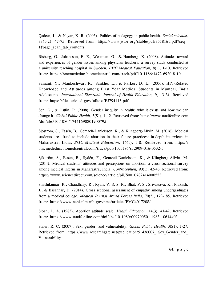Qadeer, I., & Nayar, K. R. (2005). Politics of pedagogy in public health. *Social scientist,* 33(1-2), 47-75. Retrieved from: https://www.jstor.org/stable/pdf/3518161.pdf?seq= 1#page scan tab contents

Risberg, G., Johansson, E. E., Westman, G., & Hamberg, K. (2008). Attitudes toward and experiences of gender issues among physician teachers: a survey study conducted at a university teaching hospital in Sweden. *BMC Medical Education,* 8(1), 1-10. Retrieved from: https://bmcmededuc.biomedcentral.com/track/pdf/10.1186/1472-6920-8-10

Samant, Y., Mankeshwar, R., Sankhe, L., & Parker, D. L. (2006). HIV-Related Knowledge and Attitudes among First Year Medical Students in Mumbai, India Adolescents. *International Electronic Journal of Health Education,* 9, 13-24. Retrieved from: https://files.eric.ed.gov/fulltext/EJ794113.pdf

Sen, G., & Östlin, P. (2008). Gender inequity in health: why it exists and how we can change it. *Global Public Health,* 3(S1), 1-12. Retrieved from: https://www.tandfonline.com /doi/abs/10.1080/17441690801900795

Sjöström, S., Essén, B., Gemzell-Danielsson, K., & Klingberg-Allvin, M. (2016). Medical students are afraid to include abortion in their future practices: in-depth interviews in Maharastra, India. *BMC Medical Education,* 16(1), 1-8. Retrieved from: https:// bmcmededuc.biomedcentral.com/track/pdf/10.1186/s12909-016-0532-5

Sjöström, S., Essén, B., Sydén, F., Gemzell-Danielsson, K., & Klingberg-Allvin, M. (2014). Medical students' attitudes and perceptions on abortion: a cross-sectional survey among medical interns in Maharastra, India. *Contraception,* 90(1), 42-46. Retrieved from: https://www.sciencedirect.com/science/article/pii/S0010782414000523

Shashikumar, R., Chaudhary, R., Ryali, V. S. S. R., Bhat, P. S., Srivastava, K., Prakash, J., & Basannar, D. (2014). Cross sectional assessment of empathy among undergraduates from a medical college. *Medical Journal Armed Forces India,* 70(2), 179-185. Retrieved from: https://www.ncbi.nlm.nih.gov/pmc/articles/PMC4017208/

Sloan, L. A. (1983). Abortion attitude scale. *Health Education,* 14(3), 41-42. Retrieved from: https://www.tandfonline.com/doi/abs/10.1080/00970050. 1983.10614403

Snow, R. C. (2007). Sex, gender, and vulnerability. *Global Public Health,* 3(S1), 1-27. Retrieved from: https://www.researchgate.net/publication/51436007 Sex Gender and Vulnerability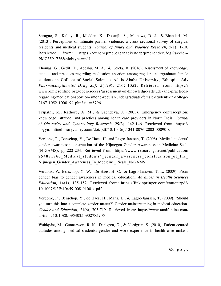Sprague, S., Kaloty, R., Madden, K., Dosanjh, S., Mathews, D. J., & Bhandari, M. (2013). Perceptions of intimate partner violence: a cross sectional survey of surgical residents and medical students. *Journal of Injury and Violence Research,* 5(1), 1-10. Retrieved from: https://europepmc.org/backend/ptpmcrender.fcgi?accid= PMC3591726&blobtype=pdf

Thomas, G., Gedif, T., Abeshu, M. A., & Geleta, B. (2016). Assessment of knowledge, attitude and practices regarding medication abortion among regular undergraduate female students in College of Social Sciences Addis Ababa University, Ethiopia. Adv *Pharmacoepidemiol Drug Saf,* 5(199), 2167-1052. Retrieved from: https:// www.omicsonline.org/open-access/assessment-of-knowledge-attitude-and-practicesregarding-medicationabortion-among-regular-undergraduate-female-students-in-college-2167-1052-1000199.php?aid=67961

Tripathi, R., Rathore, A. M., & Sachdeva, J. (2003). Emergency contraception: knowledge, attitude, and practices among health care providers in North India. *Journal of Obstetrics and Gynaecology Research,* 29(3), 142-146. Retrieved from: https:// obgyn.onlinelibrary.wiley.com/doi/pdf/10.1046/j.1341-8076.2003.00090.x

Verdonk, P., Benschop, Y., De Haes, H. and Lagro-Janssen, T. (2008). Medical students' gender awareness: construction of the Nijmegen Gender Awareness in Medicine Scale (N-GAMS). pp.222-234. Retrieved from: https://www.researchgate.net/publication/ 254871760\_Medical\_students'\_gender\_awareness\_construction\_of\_the\_ Nijmegen\_Gender\_Awareness\_In\_Medicine\_ Scale\_N-GAMS

Verdonk, P., Benschop, Y. W., De Haes, H. C., & Lagro-Janssen, T. L. (2009). From gender bias to gender awareness in medical education. *Advances in Health Sciences Education,* 14(1), 135-152. Retrieved from: https://link.springer.com/content/pdf/ 10.1007%2Fs10459-008-9100-z.pdf

Verdonk, P., Benschop, Y., de Haes, H., Mans, L., & Lagro-Janssen, T. (2009). 'Should you turn this into a complete gender matter?' Gender mainstreaming in medical education. *Gender and Education,* 21(6), 703-719. Retrieved from: https://www.tandfonline.com/ doi/abs/10.1080/09540250902785905

Wahlqvist, M., Gunnarsson, R. K., Dahlgren, G., & Nordgren, S. (2010). Patient-centred attitudes among medical students: gender and work experience in health care make a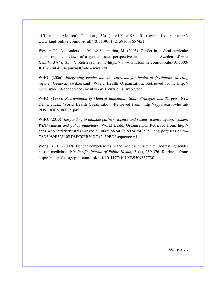difference. Medical Teacher, 32(4), e191-e198. Retrieved from: https:// www.tandfonline.com/doi/full/10.3109/01421591003657451

Westerståhl, A., Andersson, M., & Söderström, M. (2003). Gender in medical curricula: course organizer views of a gender-issues perspective in medicine in Sweden. *Women Health,* 37(4), 35-47. Retrieved from: https://www.tandfonline.com/doi/abs/10.1300/  $J013v37n04$  04?journalCode=wwah20

WHO. (2006). *Integrating gender into the curricula for health professionals: Meeting report.* Geneva, Switzerland: World Health Organisation. Retrieved from: http:// www.who.int/gender/documents/GWH\_curricula\_web2.pdf

WHO. (1988). *Reorientation of Medical Education: Goal, Strategies and Targets.* New Delhi, India: World Health Organisation. Retrieved from: http://apps.searo.who.int/ PDS\_DOCS/B0085.pdf

WHO. (2013). *Responding to intimate partner violence and sexual violence against women: WHO clinical and policy guidelines.* World Health Organisation. Retrieved from: http:// apps.who.int/iris/bitstream/handle/10665/85240/9789241548595 eng.pdf;jsessionid= C8D3989E52510ED8FC0FB20DC42459BD?sequence=1

Wong, Y. L. (2009). Gender competencies in the medical curriculum: addressing gender bias in medicine. *Asia Pacific Journal of Public Health,* 21(4), 359-376. Retrieved from: https://journals.sagepub.com/doi/pdf/10.1177/1010539509337730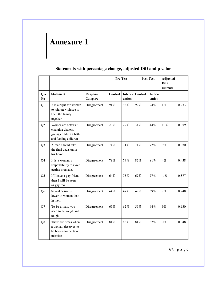# **Annexure 1**

|                        |                                                                                            |                             | Pre Test |                   | Post Test      |                   | <b>Adjusted</b><br><b>DiD</b> |       |
|------------------------|--------------------------------------------------------------------------------------------|-----------------------------|----------|-------------------|----------------|-------------------|-------------------------------|-------|
|                        |                                                                                            |                             |          |                   |                |                   | estimate                      |       |
| Que.<br>N <sub>0</sub> | <b>Statement</b>                                                                           | <b>Response</b><br>Category | Control  | Interv-<br>ention | <b>Control</b> | Interv-<br>ention |                               |       |
| Q1                     | It is alright for women<br>to tolerate violence to<br>keep the family<br>together.         | Disagreement                | 91%      | 92%               | 92%            | 94%               | $1\%$                         | 0.733 |
| Q2                     | Women are better at<br>changing diapers,<br>giving children a bath<br>and feeding children | Disagreement                | 29%      | 29%               | 34%            | 44%               | 10%                           | 0.059 |
| Q <sub>3</sub>         | A man should take<br>the final decision in<br>his home.                                    | Disagreement                | 74%      | 71%               | 71%            | 77%               | 9%                            | 0.070 |
| Q4                     | It is a woman's<br>responsibility to avoid<br>getting pregnant.                            | Disagreement                | 78%      | 74%               | 82%            | 81%               | 4%                            | 0.438 |
| Q <sub>5</sub>         | If I have a gay friend<br>then I will be seen<br>as gay too.                               | Disagreement                | 64%      | 75%               | 67%            | 77%               | $-1\%$                        | 0.877 |
| Q <sub>6</sub>         | Sexual desire is<br>lower in women than<br>in men.                                         | Disagreement                | 44%      | 47%               | 49%            | 59%               | 7%                            | 0.248 |
| Q7                     | To be a man, you<br>need to be rough and<br>tough.                                         | Disagreement                | 65%      | 62%               | 59%            | 64%               | 9%                            | 0.130 |
| Q8                     | There are times when<br>a woman deserves to<br>be beaten for certain<br>mistakes.          | Disagreement                | 81%      | 86%               | 81%            | 87%               | 0%                            | 0.948 |

### **Statements with percentage change, adjusted DiD and p value**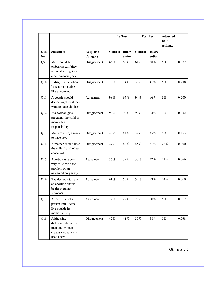|                  |                                                                                             |                             | Pre Test |                   | Post Test |                   | Adjusted<br><b>DiD</b><br>estimate |       |
|------------------|---------------------------------------------------------------------------------------------|-----------------------------|----------|-------------------|-----------|-------------------|------------------------------------|-------|
| Que.<br>$\bf No$ | <b>Statement</b>                                                                            | <b>Response</b><br>Category | Control  | Interv-<br>ention | Control   | Interv-<br>ention |                                    |       |
| Q <sub>9</sub>   | Men should be<br>embarrassed if they<br>are unable to get an<br>erection during sex.        | Disagreement                | 65%      | 66%               | 61%       | 68%               | 5%                                 | 0.377 |
| Q10              | It disgusts me when<br>I see a man acting<br>like a woman.                                  | Disagreement                | 29%      | 34%               | 30%       | 41%               | 6%                                 | 0.288 |
| Q11              | A couple should<br>decide together if they<br>want to have children.                        | Agreement                   | 98%      | 97%               | 94%       | 96%               | $3\%$                              | 0.200 |
| Q12              | If a woman gets<br>pregnant, the child is<br>mainly her<br>responsibility.                  | Disagreement                | 90%      | 92%               | 90%       | 94%               | 3%                                 | 0.332 |
| Q13              | Men are always ready<br>to have sex.                                                        | Disagreement                | $40\,\%$ | 44%               | 32%       | 45%               | 8%                                 | 0.163 |
| Q14              | A mother should bear<br>the child that she has<br>conceived.                                | Disagreement                | 47%      | 42%               | 45%       | 61%               | 22%                                | 0.000 |
| Q15              | Abortion is a good<br>way of solving the<br>problem of an<br>unwanted pregnancy             | Agreement                   | 36%      | 37%               | 30%       | 42%               | $11\,\%$                           | 0.056 |
| Q <sub>16</sub>  | The decision to have<br>an abortion should<br>be the pregnant<br>women's.                   | Agreement                   | 61%      | 63%               | 57%       | 73%               | 14%                                | 0.010 |
| Q17              | A foetus is not a<br>person until it can<br>live outside its<br>mother's body.              | Agreement                   | 17%      | 22%               | 20%       | 30%               | 5%                                 | 0.362 |
| Q18              | Addressing<br>differences between<br>men and women<br>creates inequality in<br>health care. | Disagreement                | 42%      | 41%               | 39%       | 38%               | 0%                                 | 0.958 |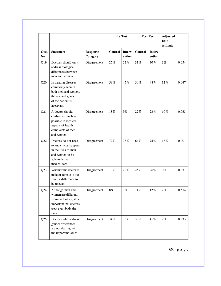|                                |                                                                                                                             |                             | Pre Test |                   | Post Test |                   | <b>Adjusted</b><br><b>DiD</b><br>estimate |       |
|--------------------------------|-----------------------------------------------------------------------------------------------------------------------------|-----------------------------|----------|-------------------|-----------|-------------------|-------------------------------------------|-------|
| Que.<br>$\mathbf{N}\mathbf{o}$ | <b>Statement</b>                                                                                                            | <b>Response</b><br>Category | Control  | Interv-<br>ention | Control   | Interv-<br>ention |                                           |       |
| Q19                            | Doctors should only<br>address biological<br>differences between<br>men and women.                                          | Disagreement                | 25%      | 22%               | 31%       | 30%               | 3%                                        | 0.654 |
| Q20                            | In treating diseases<br>commonly seen in<br>both men and women,<br>the sex and gender<br>of the patient is<br>irrelevant.   | Disagreement                | 59%      | 45%               | 50%       | 48%               | 12%                                       | 0.047 |
| Q21                            | A doctor should<br>confine as much as<br>possible to medical<br>aspects of health<br>complaints of men<br>and women.        | Disagreement                | 18%      | 9%                | 22%       | 23%               | 10%                                       | 0.033 |
| Q22                            | Doctors do not need<br>to know what happens<br>in the lives of men<br>and women to be<br>able to deliver<br>medical care    | Disagreement                | 79%      | 73%               | 64%       | 75%               | 18%                                       | 0.001 |
| Q23                            | Whether the doctor is<br>male or female is too<br>small a difference to<br>be relevant                                      | Disagreement                | 19%      | 20%               | 25%       | 26%               | 0%                                        | 0.931 |
| Q24                            | Although men and<br>women are different<br>from each other, it is<br>important that doctors<br>treat everybody the<br>same. | Disagreement                | 8%       | 7%                | 11%       | 12%               | $2\%$                                     | 0.554 |
| Q25                            | Doctors who address<br>gender differences<br>are not dealing with<br>the important issues.                                  | Disagreement                | 34%      | 35%               | 38%       | 41%               | $2\,\%$                                   | 0.733 |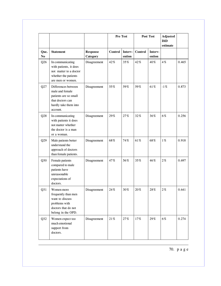|                        |                                                                                                                          |                             | Pre Test |                   | Post Test      |                   | Adjusted<br>DiD<br>estimate |       |
|------------------------|--------------------------------------------------------------------------------------------------------------------------|-----------------------------|----------|-------------------|----------------|-------------------|-----------------------------|-------|
| Que.<br>N <sub>0</sub> | <b>Statement</b>                                                                                                         | <b>Response</b><br>Category | Control  | Interv-<br>ention | <b>Control</b> | Interv-<br>ention |                             |       |
| Q26                    | In communicating<br>with patients, it does<br>not matter to a doctor<br>whether the patients<br>are men or women.        | Disagreement                | 42%      | 35%               | 42%            | 40%               | 4%                          | 0.465 |
| Q27                    | Differences between<br>male and female<br>patients are so small<br>that doctors can<br>hardly take them into<br>account. | Disagreement                | 55%      | 59%               | 59%            | 61%               | $-1\%$                      | 0.873 |
| Q28                    | In communicating<br>with patients it does<br>not matter whether<br>the doctor is a man<br>or a woman.                    | Disagreement                | 29%      | 27%               | 32%            | 36%               | 6%                          | 0.256 |
| Q29                    | Male patients better<br>understand the<br>approach of doctors<br>than female patients.                                   | Disagreement                | 68%      | 74%               | 61%            | 68%               | $1\,\%$                     | 0.918 |
| Q30                    | Female patients<br>compared to male<br>patients have<br>unreasonable<br>expectations of<br>doctors.                      | Disagreement                | 47%      | 56%               | 35%            | 46%               | $2\%$                       | 0.697 |
| Q31                    | Women more<br>frequently than men<br>want to discuss<br>problems with<br>doctors that do not<br>belong in the OPD.       | Disagreement                | 24%      | 30%               | 20%            | 28%               | $2\%$                       | 0.641 |
| Q32                    | Women expect too<br>much emotional<br>support from<br>doctors.                                                           | Disagreement                | 21%      | 27%               | 17%            | $29\,\%$          | 6%                          | 0.274 |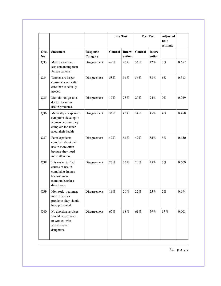|                  |                                                                                                                 |                             | Pre Test |                   | Post Test |                   | Adjusted<br><b>DiD</b><br>estimate |       |
|------------------|-----------------------------------------------------------------------------------------------------------------|-----------------------------|----------|-------------------|-----------|-------------------|------------------------------------|-------|
| Que.<br>$\bf No$ | <b>Statement</b>                                                                                                | <b>Response</b><br>Category | Control  | Interv-<br>ention | Control   | Interv-<br>ention |                                    |       |
| Q33              | Male patients are<br>less demanding than<br>female patients.                                                    | Disagreement                | 42%      | 46%               | 36%       | 42%               | 3%                                 | 0.657 |
| Q <sub>34</sub>  | Women are larger<br>consumers of health<br>care than is actually<br>needed.                                     | Disagreement                | 58%      | 54%               | 56%       | 58%               | 6%                                 | 0.313 |
| Q35              | Men do not go to a<br>doctor for minor<br>health problems.                                                      | Disagreement                | 19%      | 23%               | 20%       | 24%               | 0%                                 | 0.929 |
| Q <sub>36</sub>  | Medically unexplained<br>symptoms develop in<br>women because they<br>complain too much<br>about their health   | Disagreement                | 36%      | 43%               | 34%       | 45%               | 4%                                 | 0.458 |
| Q37              | Female patients<br>complain about their<br>health more often<br>because they need<br>more attention.            | Disagreement                | 49%      | 54%               | 42%       | 55%               | 5%                                 | 0.150 |
| Q38              | It is easier to find<br>causes of health<br>complaints in men<br>because men<br>communicate in a<br>direct way. | Disagreement                | 23%      | 25%               | 20%       | 25%               | 3%                                 | 0.500 |
| Q39              | Men seek treatment<br>more often for<br>problems they should<br>have prevented.                                 | Disagreement                | 19%      | 20%               | 22%       | 25%               | $2\%$                              | 0.694 |
| Q40              | No abortion services<br>should be provided<br>to women who<br>already have<br>daughters.                        | Disagreement                | 67%      | 68%               | 61%       | 79%               | 17%                                | 0.001 |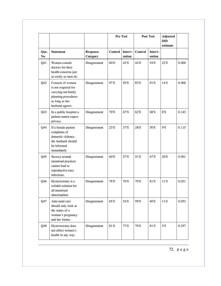|                        |                                                                                                                            |                             |         | Pre Test          |         | Post Test         |         |       |
|------------------------|----------------------------------------------------------------------------------------------------------------------------|-----------------------------|---------|-------------------|---------|-------------------|---------|-------|
| Que.<br>N <sub>0</sub> | <b>Statement</b>                                                                                                           | <b>Response</b><br>Category | Control | Interv-<br>ention | Control | Interv-<br>ention |         |       |
| Q41                    | Women consult<br>doctors for their<br>health concerns just<br>as easily as men do.                                         | Disagreement                | 60%     | 42%               | 44%     | 54%               | 22%     | 0.000 |
| Q42                    | Consent of woman<br>is not required for<br>carrying out family<br>planning procedures<br>as long as her<br>husband agrees. | Disagreement                | 97%     | 92%               | 83%     | 91%               | 14%     | 0.000 |
| Q <sub>43</sub>        | In a public hospital a<br>patient cannot expect<br>privacy.                                                                | Disagreement                | 70%     | 67%               | 62%     | 68%               | $8\,\%$ | 0.143 |
| Q44                    | If a female patient<br>complains of<br>domestic violence,<br>the husband should<br>be informed<br>immediately              | Disagreement                | 23%     | 37%               | 28%     | 50%               | 9%      | 0.115 |
| Q <sub>45</sub>        | Secrecy around<br>menstrual practices<br>cannot lead to<br>reproductive tract<br>infections.                               | Disagreement                | 60%     | 57%               | 51%     | 67%               | 20%     | 0.001 |
| Q46                    | Hysterectomy is a<br>reliable solution for<br>all menstrual<br>abnormalities                                               | Disagreement                | 78%     | 70%               | 79%     | 81%               | 11%     | 0.031 |
| Q47                    | Ante natal care<br>should only look at<br>the status of a<br>woman's pregnancy<br>and her foetus.                          | Disagreement                | 65%     | 54%               | 59%     | $60\,\%$          | 11%     | 0.053 |
| Q48                    | Hysterectomy does<br>not affect women's<br>health in any way.                                                              | Disagreement                | 81%     | 77%               | 79%     | 81%               | 5%      | 0.257 |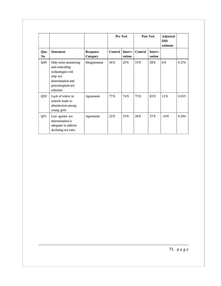|             |                                                                                                                                   |                             | <b>Pre Test</b> |                   | <b>Post Test</b><br><b>DiD</b> |                   |         |       | Adjusted<br>estimate |  |
|-------------|-----------------------------------------------------------------------------------------------------------------------------------|-----------------------------|-----------------|-------------------|--------------------------------|-------------------|---------|-------|----------------------|--|
| Que.<br>No. | <b>Statement</b>                                                                                                                  | <b>Response</b><br>Category | <b>Control</b>  | Interv-<br>ention | <b>Control</b>                 | Interv-<br>ention |         |       |                      |  |
| Q49         | Only strict monitoring<br>and controlling<br>technologies will<br>stop sex<br>determination and<br>preconception sex<br>selection | Disagreement                | 36%             | 25%               | 33%                            | 28%               | 6%      | 0.274 |                      |  |
| Q50         | Lack of toilets in<br>schools leads to<br>absenteeism among<br>young girls                                                        | Agreement                   | 77%             | 74%               | 73%                            | 83%               | 12%     | 0.015 |                      |  |
| Q51         | Law against sex<br>determination is<br>adequate to address<br>declining sex ratio.                                                | Agreement                   | 22%             | 33%               | 26%                            | 27%               | $-10\%$ | 0.054 |                      |  |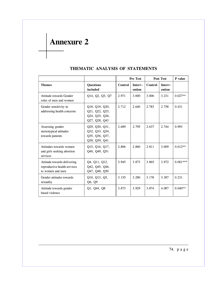**Annexure 2**

|                                                                                 |                                                                     |                | <b>Pre Test</b>   |         | <b>Post Test</b>  |            |
|---------------------------------------------------------------------------------|---------------------------------------------------------------------|----------------|-------------------|---------|-------------------|------------|
| <b>Themes</b>                                                                   | <b>Ouestions</b><br>included                                        | <b>Control</b> | Interv-<br>ention | Control | Interv-<br>ention |            |
| Attitude towards Gender<br>roles of men and women                               | Q14, Q2, Q3, Q7                                                     | 2.971          | 3.000             | 3.006   | 3.231             | $0.027**$  |
| Gender sensitivity in<br>addressing health concerns                             | Q18, Q19, Q20,<br>Q21, Q22, Q23,<br>Q24, Q25, Q26,<br>Q27, Q28, Q43 | 2.712          | 2.640             | 2.783   | 2.758             | 0.431      |
| Assessing gender<br>stereotypical attitudes<br>towards patients                 | Q29, Q30, Q31,<br>Q32, Q33, Q34,<br>Q35, Q36, Q37,<br>Q38, Q39, Q41 | 2.689          | 2.795             | 2.637   | 2.744             | 0.993      |
| Attitudes towards women<br>and girls seeking abortion<br>services               | Q15, Q16, Q17,<br>Q40, Q49, Q51                                     | 2.806          | 2.860             | 2.811   | 3.009             | $0.012**$  |
| Attitude towards delivering<br>reproductive health services<br>to women and men | Q4, Q11, Q12,<br>Q42, Q45, Q46,<br>Q47, Q48, Q50                    | 3.945          | 3.873             | 3.865   | 3.972             | $0.001***$ |
| Gender attitudes towards<br>sexuality                                           | Q10, Q13, Q5,<br>Q6, Q9                                             | 3.155          | 3.280             | 3.178   | 3.387             | 0.231      |
| Attitude towards gender<br>based violence                                       | Q1, Q44, Q8                                                         | 3.873          | 3.929             | 3.874   | 4.087             | $0.040**$  |

### **THEMATIC ANALYSIS OF STATEMENTS**